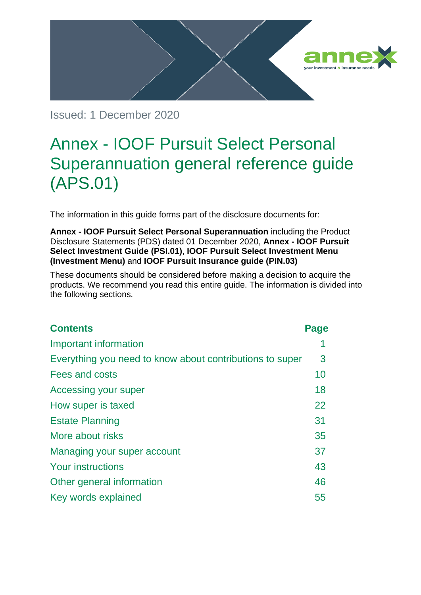

Issued: 1 December 2020

# Annex - IOOF Pursuit Select Personal Superannuation general reference guide (APS.01)

The information in this guide forms part of the disclosure documents for:

**Annex - IOOF Pursuit Select Personal Superannuation** including the Product Disclosure Statements (PDS) dated 01 December 2020, **Annex - IOOF Pursuit Select Investment Guide (PSI.01)**, **IOOF Pursuit Select Investment Menu (Investment Menu)** and **IOOF Pursuit Insurance guide (PIN.03)**

These documents should be considered before making a decision to acquire the products. We recommend you read this entire guide. The information is divided into the following sections.

| <b>Contents</b>                                          | Page |
|----------------------------------------------------------|------|
| Important information                                    |      |
| Everything you need to know about contributions to super | 3    |
| Fees and costs                                           | 10   |
| <b>Accessing your super</b>                              | 18   |
| How super is taxed                                       | 22   |
| <b>Estate Planning</b>                                   | 31   |
| More about risks                                         | 35   |
| Managing your super account                              | 37   |
| <b>Your instructions</b>                                 | 43   |
| Other general information                                | 46   |
| Key words explained                                      | 55   |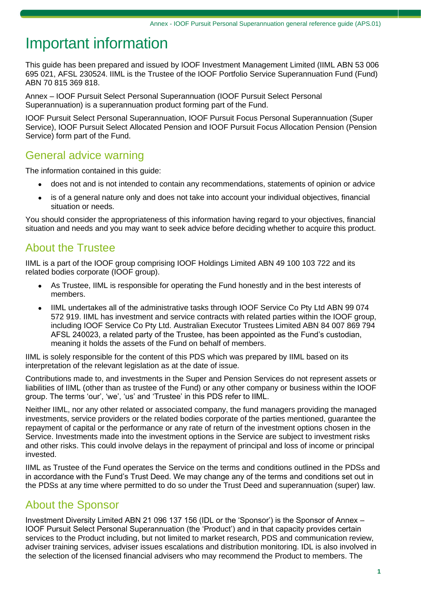# Important information

This guide has been prepared and issued by IOOF Investment Management Limited (IIML ABN 53 006 695 021, AFSL 230524. IIML is the Trustee of the IOOF Portfolio Service Superannuation Fund (Fund) ABN 70 815 369 818.

Annex – IOOF Pursuit Select Personal Superannuation (IOOF Pursuit Select Personal Superannuation) is a superannuation product forming part of the Fund.

IOOF Pursuit Select Personal Superannuation, IOOF Pursuit Focus Personal Superannuation (Super Service), IOOF Pursuit Select Allocated Pension and IOOF Pursuit Focus Allocation Pension (Pension Service) form part of the Fund.

## General advice warning

The information contained in this guide:

- does not and is not intended to contain any recommendations, statements of opinion or advice
- is of a general nature only and does not take into account your individual objectives, financial situation or needs.

You should consider the appropriateness of this information having regard to your objectives, financial situation and needs and you may want to seek advice before deciding whether to acquire this product.

# About the Trustee

IIML is a part of the IOOF group comprising IOOF Holdings Limited ABN 49 100 103 722 and its related bodies corporate (IOOF group).

- As Trustee, IIML is responsible for operating the Fund honestly and in the best interests of members.
- IIML undertakes all of the administrative tasks through IOOF Service Co Pty Ltd ABN 99 074 572 919. IIML has investment and service contracts with related parties within the IOOF group, including IOOF Service Co Pty Ltd. Australian Executor Trustees Limited ABN 84 007 869 794 AFSL 240023, a related party of the Trustee, has been appointed as the Fund's custodian, meaning it holds the assets of the Fund on behalf of members.

IIML is solely responsible for the content of this PDS which was prepared by IIML based on its interpretation of the relevant legislation as at the date of issue.

Contributions made to, and investments in the Super and Pension Services do not represent assets or liabilities of IIML (other than as trustee of the Fund) or any other company or business within the IOOF group. The terms 'our', 'we', 'us' and 'Trustee' in this PDS refer to IIML.

Neither IIML, nor any other related or associated company, the fund managers providing the managed investments, service providers or the related bodies corporate of the parties mentioned, guarantee the repayment of capital or the performance or any rate of return of the investment options chosen in the Service. Investments made into the investment options in the Service are subject to investment risks and other risks. This could involve delays in the repayment of principal and loss of income or principal invested.

IIML as Trustee of the Fund operates the Service on the terms and conditions outlined in the PDSs and in accordance with the Fund's Trust Deed. We may change any of the terms and conditions set out in the PDSs at any time where permitted to do so under the Trust Deed and superannuation (super) law.

# About the Sponsor

Investment Diversity Limited ABN 21 096 137 156 (IDL or the 'Sponsor') is the Sponsor of Annex – IOOF Pursuit Select Personal Superannuation (the 'Product') and in that capacity provides certain services to the Product including, but not limited to market research, PDS and communication review, adviser training services, adviser issues escalations and distribution monitoring. IDL is also involved in the selection of the licensed financial advisers who may recommend the Product to members. The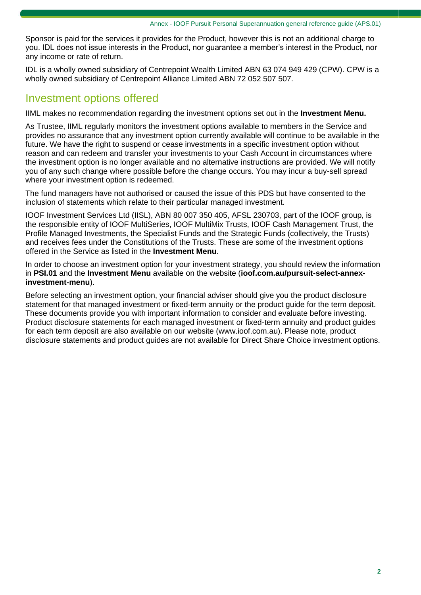Sponsor is paid for the services it provides for the Product, however this is not an additional charge to you. IDL does not issue interests in the Product, nor guarantee a member's interest in the Product, nor any income or rate of return.

IDL is a wholly owned subsidiary of Centrepoint Wealth Limited ABN 63 074 949 429 (CPW). CPW is a wholly owned subsidiary of Centrepoint Alliance Limited ABN 72 052 507 507.

### Investment options offered

IIML makes no recommendation regarding the investment options set out in the **Investment Menu.**

As Trustee, IIML regularly monitors the investment options available to members in the Service and provides no assurance that any investment option currently available will continue to be available in the future. We have the right to suspend or cease investments in a specific investment option without reason and can redeem and transfer your investments to your Cash Account in circumstances where the investment option is no longer available and no alternative instructions are provided. We will notify you of any such change where possible before the change occurs. You may incur a buy-sell spread where your investment option is redeemed.

The fund managers have not authorised or caused the issue of this PDS but have consented to the inclusion of statements which relate to their particular managed investment.

IOOF Investment Services Ltd (IISL), ABN 80 007 350 405, AFSL 230703, part of the IOOF group, is the responsible entity of IOOF MultiSeries, IOOF MultiMix Trusts, IOOF Cash Management Trust, the Profile Managed Investments, the Specialist Funds and the Strategic Funds (collectively, the Trusts) and receives fees under the Constitutions of the Trusts. These are some of the investment options offered in the Service as listed in the **Investment Menu**.

In order to choose an investment option for your investment strategy, you should review the information in **PSI.01** and the **Investment Menu** available on the website (**[ioof.com.au/pursuit-select-annex](https://www.ioof.com.au/pursuit-select-annex-investment-menu)[investment-menu](https://www.ioof.com.au/pursuit-select-annex-investment-menu)**).

Before selecting an investment option, your financial adviser should give you the product disclosure statement for that managed investment or fixed-term annuity or the product guide for the term deposit. These documents provide you with important information to consider and evaluate before investing. Product disclosure statements for each managed investment or fixed-term annuity and product guides for each term deposit are also available on our website (www.ioof.com.au). Please note, product disclosure statements and product guides are not available for Direct Share Choice investment options.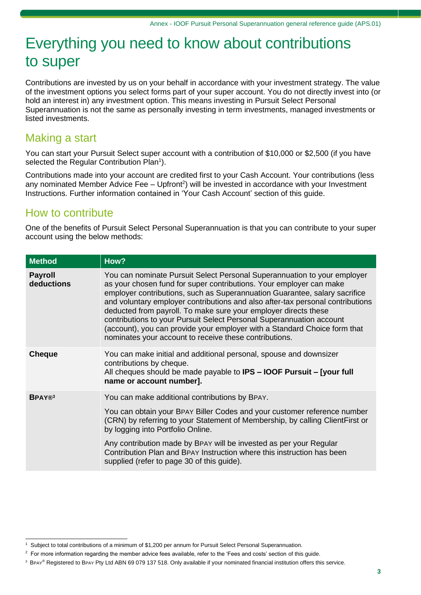# Everything you need to know about contributions to super

Contributions are invested by us on your behalf in accordance with your investment strategy. The value of the investment options you select forms part of your super account. You do not directly invest into (or hold an interest in) any investment option. This means investing in Pursuit Select Personal Superannuation is not the same as personally investing in term investments, managed investments or listed investments.

### Making a start

You can start your Pursuit Select super account with a contribution of \$10,000 or \$2,500 (if you have selected the Regular Contribution Plan<sup>1</sup>).

Contributions made into your account are credited first to your Cash Account. Your contributions (less any nominated Member Advice Fee - Upfront<sup>2</sup>) will be invested in accordance with your Investment Instructions. Further information contained in 'Your Cash Account' section of this guide.

### How to contribute

One of the benefits of Pursuit Select Personal Superannuation is that you can contribute to your super account using the below methods:

| <b>Method</b>                | How?                                                                                                                                                                                                                                                                                                                                                                                                                                                                                                                                                                                              |
|------------------------------|---------------------------------------------------------------------------------------------------------------------------------------------------------------------------------------------------------------------------------------------------------------------------------------------------------------------------------------------------------------------------------------------------------------------------------------------------------------------------------------------------------------------------------------------------------------------------------------------------|
| <b>Payroll</b><br>deductions | You can nominate Pursuit Select Personal Superannuation to your employer<br>as your chosen fund for super contributions. Your employer can make<br>employer contributions, such as Superannuation Guarantee, salary sacrifice<br>and voluntary employer contributions and also after-tax personal contributions<br>deducted from payroll. To make sure your employer directs these<br>contributions to your Pursuit Select Personal Superannuation account<br>(account), you can provide your employer with a Standard Choice form that<br>nominates your account to receive these contributions. |
| <b>Cheque</b>                | You can make initial and additional personal, spouse and downsizer<br>contributions by cheque.<br>All cheques should be made payable to IPS - IOOF Pursuit - [your full<br>name or account number].                                                                                                                                                                                                                                                                                                                                                                                               |
| <b>BPAY®</b>                 | You can make additional contributions by BPAY.                                                                                                                                                                                                                                                                                                                                                                                                                                                                                                                                                    |
|                              | You can obtain your BPAY Biller Codes and your customer reference number<br>(CRN) by referring to your Statement of Membership, by calling ClientFirst or<br>by logging into Portfolio Online.                                                                                                                                                                                                                                                                                                                                                                                                    |
|                              | Any contribution made by BPAY will be invested as per your Regular<br>Contribution Plan and BPAY Instruction where this instruction has been<br>supplied (refer to page 30 of this guide).                                                                                                                                                                                                                                                                                                                                                                                                        |

<sup>1</sup> Subject to total contributions of a minimum of \$1,200 per annum for Pursuit Select Personal Superannuation.

<sup>&</sup>lt;sup>2</sup> For more information regarding the member advice fees available, refer to the 'Fees and costs' section of this guide.

<sup>3</sup> BPAY® Registered to BPAY Pty Ltd ABN 69 079 137 518. Only available if your nominated financial institution offers this service.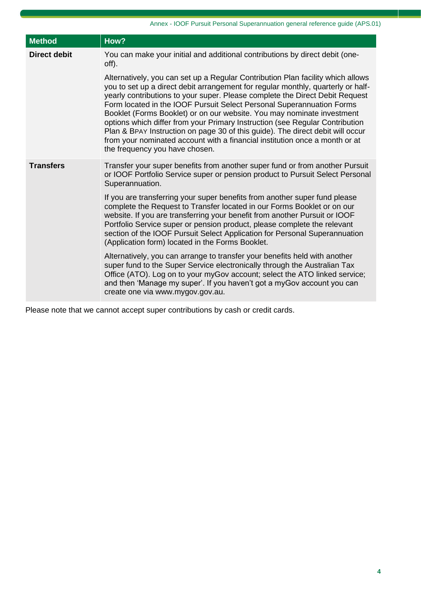| <b>Method</b>       | How?                                                                                                                                                                                                                                                                                                                                                                                                                                                                                                                                                                                                                                                                                      |
|---------------------|-------------------------------------------------------------------------------------------------------------------------------------------------------------------------------------------------------------------------------------------------------------------------------------------------------------------------------------------------------------------------------------------------------------------------------------------------------------------------------------------------------------------------------------------------------------------------------------------------------------------------------------------------------------------------------------------|
| <b>Direct debit</b> | You can make your initial and additional contributions by direct debit (one-<br>off).                                                                                                                                                                                                                                                                                                                                                                                                                                                                                                                                                                                                     |
|                     | Alternatively, you can set up a Regular Contribution Plan facility which allows<br>you to set up a direct debit arrangement for regular monthly, quarterly or half-<br>yearly contributions to your super. Please complete the Direct Debit Request<br>Form located in the IOOF Pursuit Select Personal Superannuation Forms<br>Booklet (Forms Booklet) or on our website. You may nominate investment<br>options which differ from your Primary Instruction (see Regular Contribution<br>Plan & BPAY Instruction on page 30 of this guide). The direct debit will occur<br>from your nominated account with a financial institution once a month or at<br>the frequency you have chosen. |
| <b>Transfers</b>    | Transfer your super benefits from another super fund or from another Pursuit<br>or IOOF Portfolio Service super or pension product to Pursuit Select Personal<br>Superannuation.                                                                                                                                                                                                                                                                                                                                                                                                                                                                                                          |
|                     | If you are transferring your super benefits from another super fund please<br>complete the Request to Transfer located in our Forms Booklet or on our<br>website. If you are transferring your benefit from another Pursuit or IOOF<br>Portfolio Service super or pension product, please complete the relevant<br>section of the IOOF Pursuit Select Application for Personal Superannuation<br>(Application form) located in the Forms Booklet.                                                                                                                                                                                                                                         |
|                     | Alternatively, you can arrange to transfer your benefits held with another<br>super fund to the Super Service electronically through the Australian Tax<br>Office (ATO). Log on to your myGov account; select the ATO linked service;<br>and then 'Manage my super'. If you haven't got a myGov account you can<br>create one via www.mygov.gov.au.                                                                                                                                                                                                                                                                                                                                       |

Please note that we cannot accept super contributions by cash or credit cards.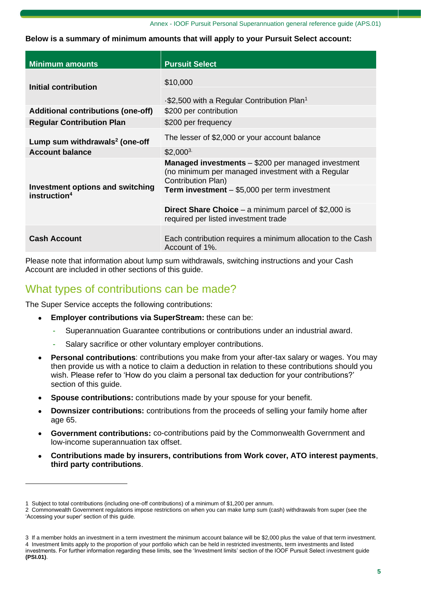#### Annex - IOOF Pursuit Personal Superannuation general reference guide (APS.01)

#### **Below is a summary of minimum amounts that will apply to your Pursuit Select account:**

| <b>Minimum amounts</b>                                              | <b>Pursuit Select</b>                                                                                                                |
|---------------------------------------------------------------------|--------------------------------------------------------------------------------------------------------------------------------------|
| Initial contribution                                                | \$10,000<br>$\cdot$ \$2,500 with a Regular Contribution Plan <sup>1</sup>                                                            |
| <b>Additional contributions (one-off)</b>                           | \$200 per contribution                                                                                                               |
| <b>Regular Contribution Plan</b>                                    | \$200 per frequency                                                                                                                  |
| Lump sum withdrawals $2$ (one-off                                   | The lesser of \$2,000 or your account balance                                                                                        |
| <b>Account balance</b>                                              | $$2,000^3$                                                                                                                           |
| <b>Investment options and switching</b><br>instruction <sup>4</sup> | <b>Managed investments</b> - \$200 per managed investment<br>(no minimum per managed investment with a Regular<br>Contribution Plan) |
|                                                                     | Term investment - \$5,000 per term investment                                                                                        |
|                                                                     | <b>Direct Share Choice</b> – a minimum parcel of \$2,000 is<br>required per listed investment trade                                  |
| <b>Cash Account</b>                                                 | Each contribution requires a minimum allocation to the Cash<br>Account of 1%.                                                        |

Please note that information about lump sum withdrawals, switching instructions and your Cash Account are included in other sections of this guide.

### What types of contributions can be made?

The Super Service accepts the following contributions:

- **Employer contributions via SuperStream:** these can be:
	- Superannuation Guarantee contributions or contributions under an industrial award.
	- Salary sacrifice or other voluntary employer contributions.
- **Personal contributions**: contributions you make from your after-tax salary or wages. You may then provide us with a notice to claim a deduction in relation to these contributions should you wish. Please refer to 'How do you claim a personal tax deduction for your contributions?' section of this guide.
- **Spouse contributions:** contributions made by your spouse for your benefit.
- **Downsizer contributions:** contributions from the proceeds of selling your family home after age 65.
- **Government contributions:** co-contributions paid by the Commonwealth Government and low-income superannuation tax offset.
- **Contributions made by insurers, contributions from Work cover, ATO interest payments**, **third party contributions**.

<sup>1</sup> Subject to total contributions (including one-off contributions) of a minimum of \$1,200 per annum.

<sup>2</sup> Commonwealth Government regulations impose restrictions on when you can make lump sum (cash) withdrawals from super (see the 'Accessing your super' section of this guide.

<sup>3</sup> If a member holds an investment in a term investment the minimum account balance will be \$2,000 plus the value of that term investment. 4 Investment limits apply to the proportion of your portfolio which can be held in restricted investments, term investments and listed investments. For further information regarding these limits, see the 'Investment limits' section of the IOOF Pursuit Select investment guide **(PSI.01)**.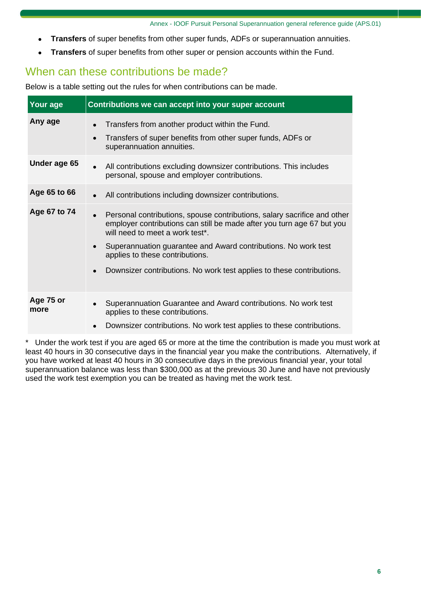- **Transfers** of super benefits from other super funds, ADFs or superannuation annuities.
- **Transfers** of super benefits from other super or pension accounts within the Fund.

# When can these contributions be made?

Below is a table setting out the rules for when contributions can be made.

| Your age          | Contributions we can accept into your super account                                                                                                                                                             |
|-------------------|-----------------------------------------------------------------------------------------------------------------------------------------------------------------------------------------------------------------|
| Any age           | Transfers from another product within the Fund.<br>$\bullet$<br>Transfers of super benefits from other super funds, ADFs or<br>$\bullet$<br>superannuation annuities.                                           |
| Under age 65      | All contributions excluding downsizer contributions. This includes<br>$\bullet$<br>personal, spouse and employer contributions.                                                                                 |
| Age 65 to 66      | All contributions including downsizer contributions.<br>$\bullet$                                                                                                                                               |
| Age 67 to 74      | Personal contributions, spouse contributions, salary sacrifice and other<br>$\bullet$<br>employer contributions can still be made after you turn age 67 but you<br>will need to meet a work test <sup>*</sup> . |
|                   | Superannuation guarantee and Award contributions. No work test<br>$\bullet$<br>applies to these contributions.                                                                                                  |
|                   | Downsizer contributions. No work test applies to these contributions.                                                                                                                                           |
| Age 75 or<br>more | Superannuation Guarantee and Award contributions. No work test<br>$\bullet$<br>applies to these contributions.                                                                                                  |
|                   | Downsizer contributions. No work test applies to these contributions.<br>$\bullet$                                                                                                                              |

\* Under the work test if you are aged 65 or more at the time the contribution is made you must work at least 40 hours in 30 consecutive days in the financial year you make the contributions. Alternatively, if you have worked at least 40 hours in 30 consecutive days in the previous financial year, your total superannuation balance was less than \$300,000 as at the previous 30 June and have not previously used the work test exemption you can be treated as having met the work test.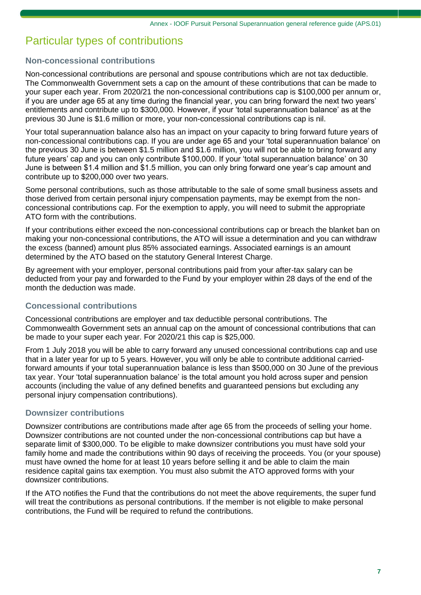# Particular types of contributions

### **Non-concessional contributions**

Non-concessional contributions are personal and spouse contributions which are not tax deductible. The Commonwealth Government sets a cap on the amount of these contributions that can be made to your super each year. From 2020/21 the non-concessional contributions cap is \$100,000 per annum or, if you are under age 65 at any time during the financial year, you can bring forward the next two years' entitlements and contribute up to \$300,000. However, if your 'total superannuation balance' as at the previous 30 June is \$1.6 million or more, your non-concessional contributions cap is nil.

Your total superannuation balance also has an impact on your capacity to bring forward future years of non-concessional contributions cap. If you are under age 65 and your 'total superannuation balance' on the previous 30 June is between \$1.5 million and \$1.6 million, you will not be able to bring forward any future years' cap and you can only contribute \$100,000. If your 'total superannuation balance' on 30 June is between \$1.4 million and \$1.5 million, you can only bring forward one year's cap amount and contribute up to \$200,000 over two years.

Some personal contributions, such as those attributable to the sale of some small business assets and those derived from certain personal injury compensation payments, may be exempt from the nonconcessional contributions cap. For the exemption to apply, you will need to submit the appropriate ATO form with the contributions.

If your contributions either exceed the non-concessional contributions cap or breach the blanket ban on making your non-concessional contributions, the ATO will issue a determination and you can withdraw the excess (banned) amount plus 85% associated earnings. Associated earnings is an amount determined by the ATO based on the statutory General Interest Charge.

By agreement with your employer, personal contributions paid from your after-tax salary can be deducted from your pay and forwarded to the Fund by your employer within 28 days of the end of the month the deduction was made.

### **Concessional contributions**

Concessional contributions are employer and tax deductible personal contributions. The Commonwealth Government sets an annual cap on the amount of concessional contributions that can be made to your super each year. For 2020/21 this cap is \$25,000.

From 1 July 2018 you will be able to carry forward any unused concessional contributions cap and use that in a later year for up to 5 years. However, you will only be able to contribute additional carriedforward amounts if your total superannuation balance is less than \$500,000 on 30 June of the previous tax year. Your 'total superannuation balance' is the total amount you hold across super and pension accounts (including the value of any defined benefits and guaranteed pensions but excluding any personal injury compensation contributions).

### **Downsizer contributions**

Downsizer contributions are contributions made after age 65 from the proceeds of selling your home. Downsizer contributions are not counted under the non-concessional contributions cap but have a separate limit of \$300,000. To be eligible to make downsizer contributions you must have sold your family home and made the contributions within 90 days of receiving the proceeds. You (or your spouse) must have owned the home for at least 10 years before selling it and be able to claim the main residence capital gains tax exemption. You must also submit the ATO approved forms with your downsizer contributions.

If the ATO notifies the Fund that the contributions do not meet the above requirements, the super fund will treat the contributions as personal contributions. If the member is not eligible to make personal contributions, the Fund will be required to refund the contributions.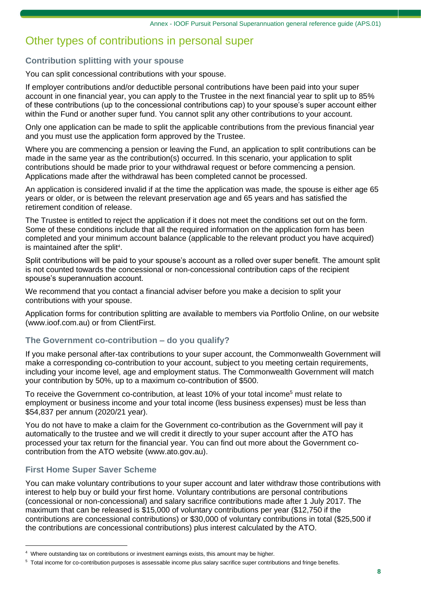# Other types of contributions in personal super

### **Contribution splitting with your spouse**

You can split concessional contributions with your spouse.

If employer contributions and/or deductible personal contributions have been paid into your super account in one financial year, you can apply to the Trustee in the next financial year to split up to 85% of these contributions (up to the concessional contributions cap) to your spouse's super account either within the Fund or another super fund. You cannot split any other contributions to your account.

Only one application can be made to split the applicable contributions from the previous financial year and you must use the application form approved by the Trustee.

Where you are commencing a pension or leaving the Fund, an application to split contributions can be made in the same year as the contribution(s) occurred. In this scenario, your application to split contributions should be made prior to your withdrawal request or before commencing a pension. Applications made after the withdrawal has been completed cannot be processed.

An application is considered invalid if at the time the application was made, the spouse is either age 65 years or older, or is between the relevant preservation age and 65 years and has satisfied the retirement condition of release.

The Trustee is entitled to reject the application if it does not meet the conditions set out on the form. Some of these conditions include that all the required information on the application form has been completed and your minimum account balance (applicable to the relevant product you have acquired) is maintained after the split<sup>4</sup>.

Split contributions will be paid to your spouse's account as a rolled over super benefit. The amount split is not counted towards the concessional or non-concessional contribution caps of the recipient spouse's superannuation account.

We recommend that you contact a financial adviser before you make a decision to split your contributions with your spouse.

Application forms for contribution splitting are available to members via Portfolio Online, on our website (www.ioof.com.au) or from ClientFirst.

### **The Government co-contribution – do you qualify?**

If you make personal after-tax contributions to your super account, the Commonwealth Government will make a corresponding co-contribution to your account, subject to you meeting certain requirements, including your income level, age and employment status. The Commonwealth Government will match your contribution by 50%, up to a maximum co-contribution of \$500.

To receive the Government co-contribution, at least 10% of your total income<sup>5</sup> must relate to employment or business income and your total income (less business expenses) must be less than \$54,837 per annum (2020/21 year).

You do not have to make a claim for the Government co-contribution as the Government will pay it automatically to the trustee and we will credit it directly to your super account after the ATO has processed your tax return for the financial year. You can find out more about the Government cocontribution from the ATO website (www[.ato.gov.au\)](http://www.ato.gov.au/).

### **First Home Super Saver Scheme**

You can make voluntary contributions to your super account and later withdraw those contributions with interest to help buy or build your first home. Voluntary contributions are personal contributions (concessional or non-concessional) and salary sacrifice contributions made after 1 July 2017. The maximum that can be released is \$15,000 of voluntary contributions per year (\$12,750 if the contributions are concessional contributions) or \$30,000 of voluntary contributions in total (\$25,500 if the contributions are concessional contributions) plus interest calculated by the ATO.

<sup>4</sup> Where outstanding tax on contributions or investment earnings exists, this amount may be higher.

<sup>5</sup> Total income for co-contribution purposes is assessable income plus salary sacrifice super contributions and fringe benefits.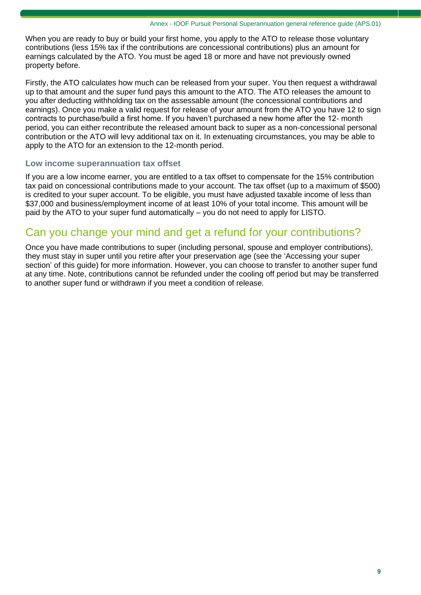When you are ready to buy or build your first home, you apply to the ATO to release those voluntary contributions (less 15% tax if the contributions are concessional contributions) plus an amount for earnings calculated by the ATO. You must be aged 18 or more and have not previously owned property before.

Firstly, the ATO calculates how much can be released from your super. You then request a withdrawal up to that amount and the super fund pays this amount to the ATO. The ATO releases the amount to you after deducting withholding tax on the assessable amount (the concessional contributions and earnings). Once you make a valid request for release of your amount from the ATO you have 12 to sign contracts to purchase/build a first home. If you haven't purchased a new home after the 12- month period, you can either recontribute the released amount back to super as a non-concessional personal contribution or the ATO will levy additional tax on it. In extenuating circumstances, you may be able to apply to the ATO for an extension to the 12-month period.

### **Low income superannuation tax offset**

If you are a low income earner, you are entitled to a tax offset to compensate for the 15% contribution tax paid on concessional contributions made to your account. The tax offset (up to a maximum of \$500) is credited to your super account. To be eligible, you must have adjusted taxable income of less than \$37,000 and business/employment income of at least 10% of your total income. This amount will be paid by the ATO to your super fund automatically – you do not need to apply for LISTO.

## Can you change your mind and get a refund for your contributions?

Once you have made contributions to super (including personal, spouse and employer contributions), they must stay in super until you retire after your preservation age (see the 'Accessing your super section' of this guide) for more information. However, you can choose to transfer to another super fund at any time. Note, contributions cannot be refunded under the cooling off period but may be transferred to another super fund or withdrawn if you meet a condition of release.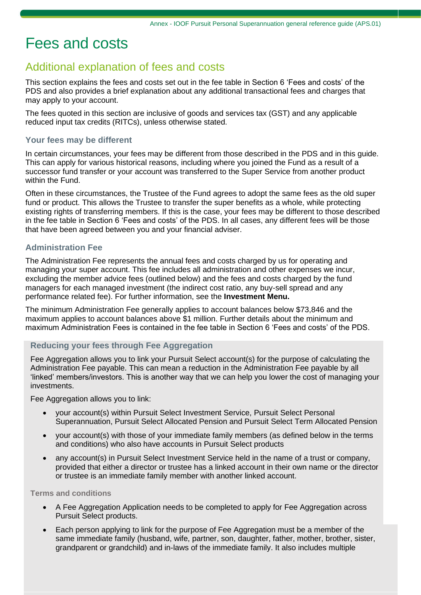# Fees and costs

### Additional explanation of fees and costs

This section explains the fees and costs set out in the fee table in Section 6 'Fees and costs' of the PDS and also provides a brief explanation about any additional transactional fees and charges that may apply to your account.

The fees quoted in this section are inclusive of goods and services tax (GST) and any applicable reduced input tax credits (RITCs), unless otherwise stated.

#### **Your fees may be different**

In certain circumstances, your fees may be different from those described in the PDS and in this guide. This can apply for various historical reasons, including where you joined the Fund as a result of a successor fund transfer or your account was transferred to the Super Service from another product within the Fund.

Often in these circumstances, the Trustee of the Fund agrees to adopt the same fees as the old super fund or product. This allows the Trustee to transfer the super benefits as a whole, while protecting existing rights of transferring members. If this is the case, your fees may be different to those described in the fee table in Section 6 'Fees and costs' of the PDS. In all cases, any different fees will be those that have been agreed between you and your financial adviser.

#### **Administration Fee**

The Administration Fee represents the annual fees and costs charged by us for operating and managing your super account. This fee includes all administration and other expenses we incur, excluding the member advice fees (outlined below) and the fees and costs charged by the fund managers for each managed investment (the indirect cost ratio, any buy-sell spread and any performance related fee). For further information, see the **Investment Menu.**

The minimum Administration Fee generally applies to account balances below \$73,846 and the maximum applies to account balances above \$1 million. Further details about the minimum and maximum Administration Fees is contained in the fee table in Section 6 'Fees and costs' of the PDS.

#### **Reducing your fees through Fee Aggregation**

Fee Aggregation allows you to link your Pursuit Select account(s) for the purpose of calculating the Administration Fee payable. This can mean a reduction in the Administration Fee payable by all 'linked' members/investors. This is another way that we can help you lower the cost of managing your investments.

Fee Aggregation allows you to link:

- your account(s) within Pursuit Select Investment Service, Pursuit Select Personal Superannuation, Pursuit Select Allocated Pension and Pursuit Select Term Allocated Pension
- your account(s) with those of your immediate family members (as defined below in the terms and conditions) who also have accounts in Pursuit Select products
- any account(s) in Pursuit Select Investment Service held in the name of a trust or company, provided that either a director or trustee has a linked account in their own name or the director or trustee is an immediate family member with another linked account.

#### **Terms and conditions**

- A Fee Aggregation Application needs to be completed to apply for Fee Aggregation across Pursuit Select products.
- Each person applying to link for the purpose of Fee Aggregation must be a member of the same immediate family (husband, wife, partner, son, daughter, father, mother, brother, sister, grandparent or grandchild) and in-laws of the immediate family. It also includes multiple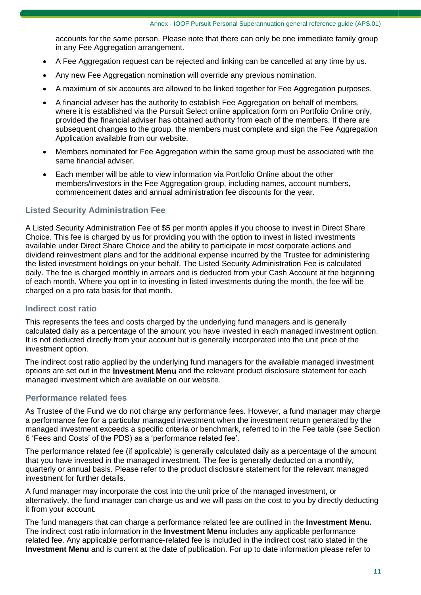accounts for the same person. Please note that there can only be one immediate family group in any Fee Aggregation arrangement.

- A Fee Aggregation request can be rejected and linking can be cancelled at any time by us.
- Any new Fee Aggregation nomination will override any previous nomination.
- A maximum of six accounts are allowed to be linked together for Fee Aggregation purposes.
- A financial adviser has the authority to establish Fee Aggregation on behalf of members, where it is established via the Pursuit Select online application form on Portfolio Online only, provided the financial adviser has obtained authority from each of the members. If there are subsequent changes to the group, the members must complete and sign the Fee Aggregation Application available from our website.
- Members nominated for Fee Aggregation within the same group must be associated with the same financial adviser.
- Each member will be able to view information via Portfolio Online about the other members/investors in the Fee Aggregation group, including names, account numbers, commencement dates and annual administration fee discounts for the year.

### **Listed Security Administration Fee**

A Listed Security Administration Fee of \$5 per month apples if you choose to invest in Direct Share Choice. This fee is charged by us for providing you with the option to invest in listed investments available under Direct Share Choice and the ability to participate in most corporate actions and dividend reinvestment plans and for the additional expense incurred by the Trustee for administering the listed investment holdings on your behalf. The Listed Security Administration Fee is calculated daily. The fee is charged monthly in arrears and is deducted from your Cash Account at the beginning of each month. Where you opt in to investing in listed investments during the month, the fee will be charged on a pro rata basis for that month.

#### **Indirect cost ratio**

This represents the fees and costs charged by the underlying fund managers and is generally calculated daily as a percentage of the amount you have invested in each managed investment option. It is not deducted directly from your account but is generally incorporated into the unit price of the investment option.

The indirect cost ratio applied by the underlying fund managers for the available managed investment options are set out in the **Investment Menu** and the relevant product disclosure statement for each managed investment which are available on our website.

#### **Performance related fees**

As Trustee of the Fund we do not charge any performance fees. However, a fund manager may charge a performance fee for a particular managed investment when the investment return generated by the managed investment exceeds a specific criteria or benchmark, referred to in the Fee table (see Section 6 'Fees and Costs' of the PDS) as a 'performance related fee'.

The performance related fee (if applicable) is generally calculated daily as a percentage of the amount that you have invested in the managed investment. The fee is generally deducted on a monthly, quarterly or annual basis. Please refer to the product disclosure statement for the relevant managed investment for further details.

A fund manager may incorporate the cost into the unit price of the managed investment, or alternatively, the fund manager can charge us and we will pass on the cost to you by directly deducting it from your account.

The fund managers that can charge a performance related fee are outlined in the **Investment Menu.** The indirect cost ratio information in the **Investment Menu** includes any applicable performance related fee. Any applicable performance-related fee is included in the indirect cost ratio stated in the **Investment Menu** and is current at the date of publication. For up to date information please refer to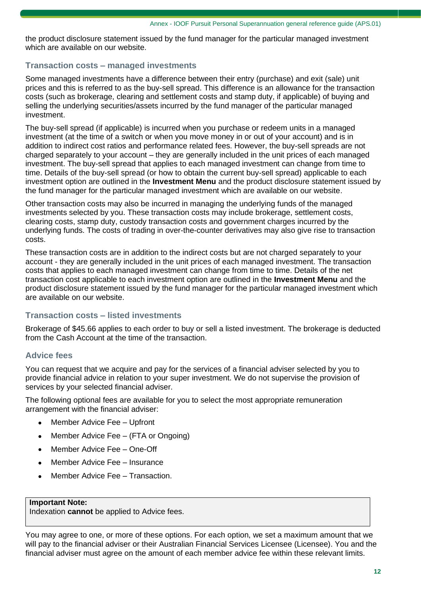the product disclosure statement issued by the fund manager for the particular managed investment which are available on our website.

### **Transaction costs – managed investments**

Some managed investments have a difference between their entry (purchase) and exit (sale) unit prices and this is referred to as the buy-sell spread. This difference is an allowance for the transaction costs (such as brokerage, clearing and settlement costs and stamp duty, if applicable) of buying and selling the underlying securities/assets incurred by the fund manager of the particular managed investment.

The buy-sell spread (if applicable) is incurred when you purchase or redeem units in a managed investment (at the time of a switch or when you move money in or out of your account) and is in addition to indirect cost ratios and performance related fees. However, the buy-sell spreads are not charged separately to your account – they are generally included in the unit prices of each managed investment. The buy-sell spread that applies to each managed investment can change from time to time. Details of the buy-sell spread (or how to obtain the current buy-sell spread) applicable to each investment option are outlined in the **Investment Menu** and the product disclosure statement issued by the fund manager for the particular managed investment which are available on our website.

Other transaction costs may also be incurred in managing the underlying funds of the managed investments selected by you. These transaction costs may include brokerage, settlement costs, clearing costs, stamp duty, custody transaction costs and government charges incurred by the underlying funds. The costs of trading in over-the-counter derivatives may also give rise to transaction costs.

These transaction costs are in addition to the indirect costs but are not charged separately to your account - they are generally included in the unit prices of each managed investment. The transaction costs that applies to each managed investment can change from time to time. Details of the net transaction cost applicable to each investment option are outlined in the **Investment Menu** and the product disclosure statement issued by the fund manager for the particular managed investment which are available on our website.

### **Transaction costs – listed investments**

Brokerage of \$45.66 applies to each order to buy or sell a listed investment. The brokerage is deducted from the Cash Account at the time of the transaction.

### **Advice fees**

You can request that we acquire and pay for the services of a financial adviser selected by you to provide financial advice in relation to your super investment. We do not supervise the provision of services by your selected financial adviser.

The following optional fees are available for you to select the most appropriate remuneration arrangement with the financial adviser:

- Member Advice Fee Upfront
- Member Advice Fee (FTA or Ongoing)
- Member Advice Fee One-Off
- Member Advice Fee Insurance
- Member Advice Fee Transaction.

#### **Important Note:**

Indexation **cannot** be applied to Advice fees.

You may agree to one, or more of these options. For each option, we set a maximum amount that we will pay to the financial adviser or their Australian Financial Services Licensee (Licensee). You and the financial adviser must agree on the amount of each member advice fee within these relevant limits.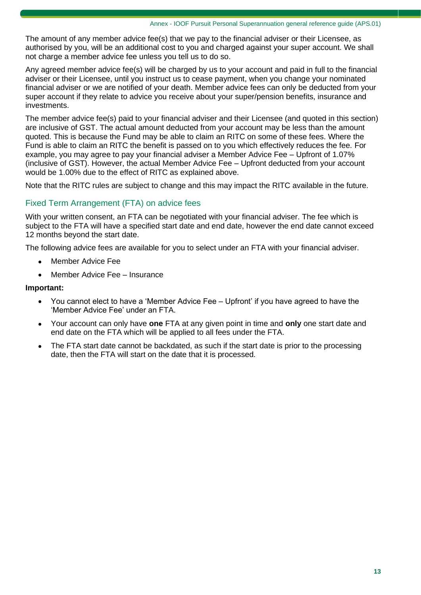The amount of any member advice fee(s) that we pay to the financial adviser or their Licensee, as authorised by you, will be an additional cost to you and charged against your super account. We shall not charge a member advice fee unless you tell us to do so.

Any agreed member advice fee(s) will be charged by us to your account and paid in full to the financial adviser or their Licensee, until you instruct us to cease payment, when you change your nominated financial adviser or we are notified of your death. Member advice fees can only be deducted from your super account if they relate to advice you receive about your super/pension benefits, insurance and investments.

The member advice fee(s) paid to your financial adviser and their Licensee (and quoted in this section) are inclusive of GST. The actual amount deducted from your account may be less than the amount quoted. This is because the Fund may be able to claim an RITC on some of these fees. Where the Fund is able to claim an RITC the benefit is passed on to you which effectively reduces the fee. For example, you may agree to pay your financial adviser a Member Advice Fee – Upfront of 1.07% (inclusive of GST). However, the actual Member Advice Fee – Upfront deducted from your account would be 1.00% due to the effect of RITC as explained above.

Note that the RITC rules are subject to change and this may impact the RITC available in the future.

### Fixed Term Arrangement (FTA) on advice fees

With your written consent, an FTA can be negotiated with your financial adviser. The fee which is subject to the FTA will have a specified start date and end date, however the end date cannot exceed 12 months beyond the start date.

The following advice fees are available for you to select under an FTA with your financial adviser.

- Member Advice Fee
- Member Advice Fee Insurance

#### **Important:**

- You cannot elect to have a 'Member Advice Fee Upfront' if you have agreed to have the 'Member Advice Fee' under an FTA.
- Your account can only have **one** FTA at any given point in time and **only** one start date and end date on the FTA which will be applied to all fees under the FTA.
- The FTA start date cannot be backdated, as such if the start date is prior to the processing date, then the FTA will start on the date that it is processed.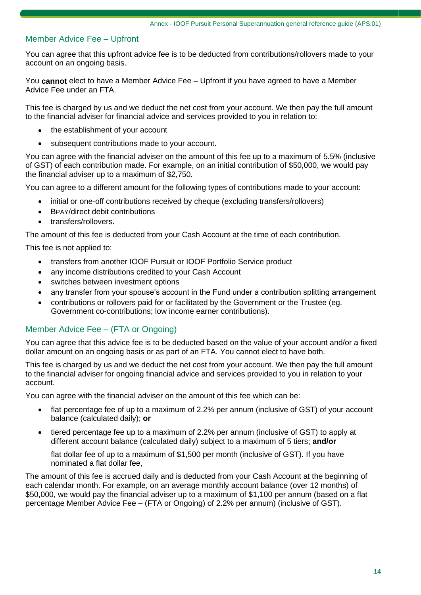### Member Advice Fee – Upfront

You can agree that this upfront advice fee is to be deducted from contributions/rollovers made to your account on an ongoing basis.

You **cannot** elect to have a Member Advice Fee – Upfront if you have agreed to have a Member Advice Fee under an FTA.

This fee is charged by us and we deduct the net cost from your account. We then pay the full amount to the financial adviser for financial advice and services provided to you in relation to:

- the establishment of your account
- subsequent contributions made to your account.

You can agree with the financial adviser on the amount of this fee up to a maximum of 5.5% (inclusive of GST) of each contribution made. For example, on an initial contribution of \$50,000, we would pay the financial adviser up to a maximum of \$2,750.

You can agree to a different amount for the following types of contributions made to your account:

- initial or one-off contributions received by cheque (excluding transfers/rollovers)
- BPAY/direct debit contributions
- transfers/rollovers.

The amount of this fee is deducted from your Cash Account at the time of each contribution.

This fee is not applied to:

- transfers from another IOOF Pursuit or IOOF Portfolio Service product
- any income distributions credited to your Cash Account
- switches between investment options
- any transfer from your spouse's account in the Fund under a contribution splitting arrangement
- contributions or rollovers paid for or facilitated by the Government or the Trustee (eg. Government co-contributions; low income earner contributions).

### Member Advice Fee – (FTA or Ongoing)

You can agree that this advice fee is to be deducted based on the value of your account and/or a fixed dollar amount on an ongoing basis or as part of an FTA. You cannot elect to have both.

This fee is charged by us and we deduct the net cost from your account. We then pay the full amount to the financial adviser for ongoing financial advice and services provided to you in relation to your account.

You can agree with the financial adviser on the amount of this fee which can be:

- flat percentage fee of up to a maximum of 2.2% per annum (inclusive of GST) of your account balance (calculated daily); **or**
- tiered percentage fee up to a maximum of 2.2% per annum (inclusive of GST) to apply at different account balance (calculated daily) subject to a maximum of 5 tiers; **and/or**

flat dollar fee of up to a maximum of \$1,500 per month (inclusive of GST). If you have nominated a flat dollar fee,

The amount of this fee is accrued daily and is deducted from your Cash Account at the beginning of each calendar month. For example, on an average monthly account balance (over 12 months) of \$50,000, we would pay the financial adviser up to a maximum of \$1,100 per annum (based on a flat percentage Member Advice Fee – (FTA or Ongoing) of 2.2% per annum) (inclusive of GST).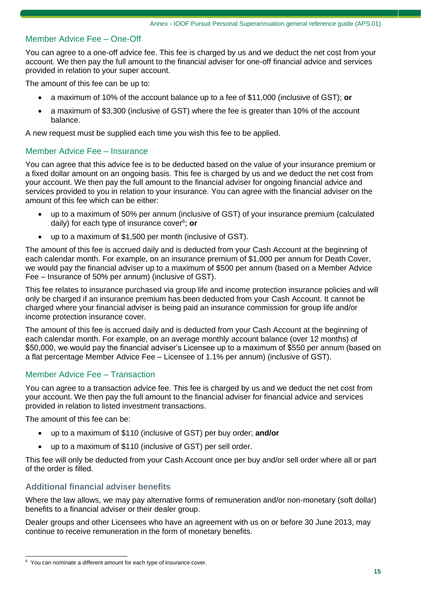### Member Advice Fee – One-Off

You can agree to a one-off advice fee. This fee is charged by us and we deduct the net cost from your account. We then pay the full amount to the financial adviser for one-off financial advice and services provided in relation to your super account.

The amount of this fee can be up to:

- a maximum of 10% of the account balance up to a fee of \$11,000 (inclusive of GST); **or**
- a maximum of \$3,300 (inclusive of GST) where the fee is greater than 10% of the account balance.

A new request must be supplied each time you wish this fee to be applied.

#### Member Advice Fee – Insurance

You can agree that this advice fee is to be deducted based on the value of your insurance premium or a fixed dollar amount on an ongoing basis. This fee is charged by us and we deduct the net cost from your account. We then pay the full amount to the financial adviser for ongoing financial advice and services provided to you in relation to your insurance. You can agree with the financial adviser on the amount of this fee which can be either:

- up to a maximum of 50% per annum (inclusive of GST) of your insurance premium (calculated daily) for each type of insurance cover<sup>6</sup> ; **or**
- up to a maximum of \$1,500 per month (inclusive of GST).

The amount of this fee is accrued daily and is deducted from your Cash Account at the beginning of each calendar month. For example, on an insurance premium of \$1,000 per annum for Death Cover, we would pay the financial adviser up to a maximum of \$500 per annum (based on a Member Advice Fee – Insurance of 50% per annum) (inclusive of GST).

This fee relates to insurance purchased via group life and income protection insurance policies and will only be charged if an insurance premium has been deducted from your Cash Account. It cannot be charged where your financial adviser is being paid an insurance commission for group life and/or income protection insurance cover.

The amount of this fee is accrued daily and is deducted from your Cash Account at the beginning of each calendar month. For example, on an average monthly account balance (over 12 months) of \$50,000, we would pay the financial adviser's Licensee up to a maximum of \$550 per annum (based on a flat percentage Member Advice Fee – Licensee of 1.1% per annum) (inclusive of GST).

#### Member Advice Fee – Transaction

You can agree to a transaction advice fee. This fee is charged by us and we deduct the net cost from your account. We then pay the full amount to the financial adviser for financial advice and services provided in relation to listed investment transactions.

The amount of this fee can be:

- up to a maximum of \$110 (inclusive of GST) per buy order; **and/or**
- up to a maximum of \$110 (inclusive of GST) per sell order.

This fee will only be deducted from your Cash Account once per buy and/or sell order where all or part of the order is filled.

### **Additional financial adviser benefits**

Where the law allows, we may pay alternative forms of remuneration and/or non-monetary (soft dollar) benefits to a financial adviser or their dealer group.

Dealer groups and other Licensees who have an agreement with us on or before 30 June 2013, may continue to receive remuneration in the form of monetary benefits.

<sup>&</sup>lt;sup>6</sup> You can nominate a different amount for each type of insurance cover.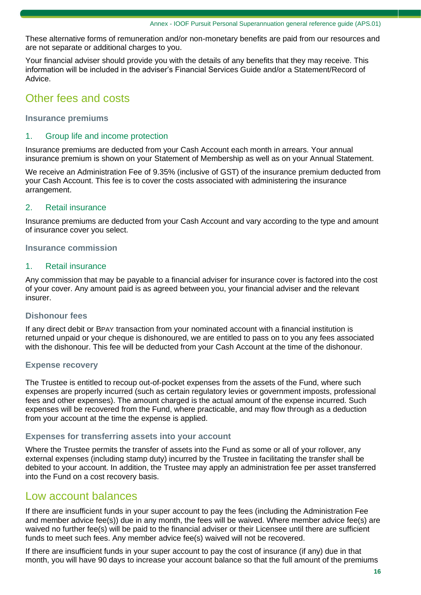These alternative forms of remuneration and/or non-monetary benefits are paid from our resources and are not separate or additional charges to you.

Your financial adviser should provide you with the details of any benefits that they may receive. This information will be included in the adviser's Financial Services Guide and/or a Statement/Record of Advice.

### Other fees and costs

### **Insurance premiums**

#### 1. Group life and income protection

Insurance premiums are deducted from your Cash Account each month in arrears. Your annual insurance premium is shown on your Statement of Membership as well as on your Annual Statement.

We receive an Administration Fee of 9.35% (inclusive of GST) of the insurance premium deducted from your Cash Account. This fee is to cover the costs associated with administering the insurance arrangement.

#### 2. Retail insurance

Insurance premiums are deducted from your Cash Account and vary according to the type and amount of insurance cover you select.

#### **Insurance commission**

#### 1. Retail insurance

Any commission that may be payable to a financial adviser for insurance cover is factored into the cost of your cover. Any amount paid is as agreed between you, your financial adviser and the relevant insurer.

#### **Dishonour fees**

If any direct debit or BPAY transaction from your nominated account with a financial institution is returned unpaid or your cheque is dishonoured, we are entitled to pass on to you any fees associated with the dishonour. This fee will be deducted from your Cash Account at the time of the dishonour.

#### **Expense recovery**

The Trustee is entitled to recoup out-of-pocket expenses from the assets of the Fund, where such expenses are properly incurred (such as certain regulatory levies or government imposts, professional fees and other expenses). The amount charged is the actual amount of the expense incurred. Such expenses will be recovered from the Fund, where practicable, and may flow through as a deduction from your account at the time the expense is applied.

#### **Expenses for transferring assets into your account**

Where the Trustee permits the transfer of assets into the Fund as some or all of your rollover, any external expenses (including stamp duty) incurred by the Trustee in facilitating the transfer shall be debited to your account. In addition, the Trustee may apply an administration fee per asset transferred into the Fund on a cost recovery basis.

### Low account balances

If there are insufficient funds in your super account to pay the fees (including the Administration Fee and member advice fee(s)) due in any month, the fees will be waived. Where member advice fee(s) are waived no further fee(s) will be paid to the financial adviser or their Licensee until there are sufficient funds to meet such fees. Any member advice fee(s) waived will not be recovered.

If there are insufficient funds in your super account to pay the cost of insurance (if any) due in that month, you will have 90 days to increase your account balance so that the full amount of the premiums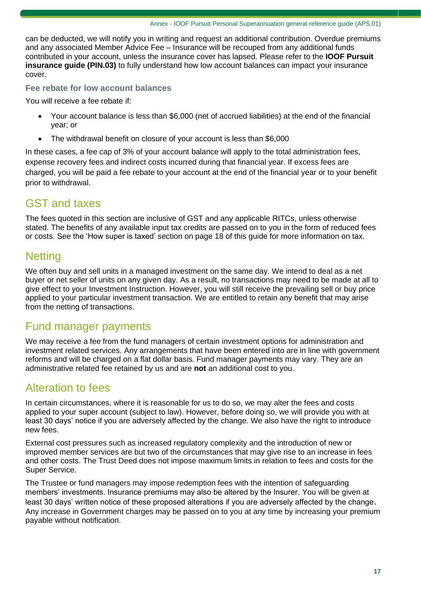can be deducted, we will notify you in writing and request an additional contribution. Overdue premiums and any associated Member Advice Fee – Insurance will be recouped from any additional funds contributed in your account, unless the insurance cover has lapsed. Please refer to the **IOOF Pursuit insurance guide (PIN.03)** to fully understand how low account balances can impact your insurance cover.

### **Fee rebate for low account balances**

You will receive a fee rebate if:

- Your account balance is less than \$6,000 (net of accrued liabilities) at the end of the financial year; or
- The withdrawal benefit on closure of your account is less than \$6,000

In these cases, a fee cap of 3% of your account balance will apply to the total administration fees, expense recovery fees and indirect costs incurred during that financial year. If excess fees are charged, you will be paid a fee rebate to your account at the end of the financial year or to your benefit prior to withdrawal.

### GST and taxes

The fees quoted in this section are inclusive of GST and any applicable RITCs, unless otherwise stated. The benefits of any available input tax credits are passed on to you in the form of reduced fees or costs. See the 'How super is taxed' section on page 18 of this guide for more information on tax.

### **Netting**

We often buy and sell units in a managed investment on the same day. We intend to deal as a net buyer or net seller of units on any given day. As a result, no transactions may need to be made at all to give effect to your Investment Instruction. However, you will still receive the prevailing sell or buy price applied to your particular investment transaction. We are entitled to retain any benefit that may arise from the netting of transactions.

### Fund manager payments

We may receive a fee from the fund managers of certain investment options for administration and investment related services. Any arrangements that have been entered into are in line with government reforms and will be charged on a flat dollar basis. Fund manager payments may vary. They are an administrative related fee retained by us and are **not** an additional cost to you.

### Alteration to fees

In certain circumstances, where it is reasonable for us to do so, we may alter the fees and costs applied to your super account (subject to law). However, before doing so, we will provide you with at least 30 days' notice if you are adversely affected by the change. We also have the right to introduce new fees.

External cost pressures such as increased regulatory complexity and the introduction of new or improved member services are but two of the circumstances that may give rise to an increase in fees and other costs. The Trust Deed does not impose maximum limits in relation to fees and costs for the Super Service.

The Trustee or fund managers may impose redemption fees with the intention of safeguarding members' investments. Insurance premiums may also be altered by the Insurer. You will be given at least 30 days' written notice of these proposed alterations if you are adversely affected by the change. Any increase in Government charges may be passed on to you at any time by increasing your premium payable without notification.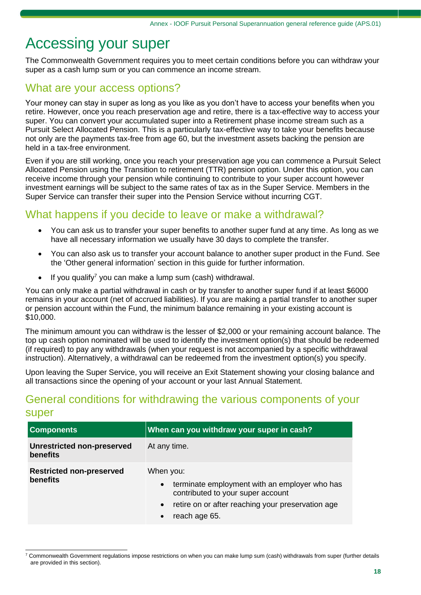# Accessing your super

The Commonwealth Government requires you to meet certain conditions before you can withdraw your super as a cash lump sum or you can commence an income stream.

### What are your access options?

Your money can stay in super as long as you like as you don't have to access your benefits when you retire. However, once you reach preservation age and retire, there is a tax-effective way to access your super. You can convert your accumulated super into a Retirement phase income stream such as a Pursuit Select Allocated Pension. This is a particularly tax-effective way to take your benefits because not only are the payments tax-free from age 60, but the investment assets backing the pension are held in a tax-free environment.

Even if you are still working, once you reach your preservation age you can commence a Pursuit Select Allocated Pension using the Transition to retirement (TTR) pension option. Under this option, you can receive income through your pension while continuing to contribute to your super account however investment earnings will be subject to the same rates of tax as in the Super Service. Members in the Super Service can transfer their super into the Pension Service without incurring CGT.

## What happens if you decide to leave or make a withdrawal?

- You can ask us to transfer your super benefits to another super fund at any time. As long as we have all necessary information we usually have 30 days to complete the transfer.
- You can also ask us to transfer your account balance to another super product in the Fund. See the 'Other general information' section in this guide for further information.
- If you qualify<sup>7</sup> you can make a lump sum (cash) withdrawal.

You can only make a partial withdrawal in cash or by transfer to another super fund if at least \$6000 remains in your account (net of accrued liabilities). If you are making a partial transfer to another super or pension account within the Fund, the minimum balance remaining in your existing account is \$10,000.

The minimum amount you can withdraw is the lesser of \$2,000 or your remaining account balance. The top up cash option nominated will be used to identify the investment option(s) that should be redeemed (if required) to pay any withdrawals (when your request is not accompanied by a specific withdrawal instruction). Alternatively, a withdrawal can be redeemed from the investment option(s) you specify.

Upon leaving the Super Service, you will receive an Exit Statement showing your closing balance and all transactions since the opening of your account or your last Annual Statement.

### General conditions for withdrawing the various components of your super

| <b>Components</b>                                    | When can you withdraw your super in cash?                                                                                                                                          |
|------------------------------------------------------|------------------------------------------------------------------------------------------------------------------------------------------------------------------------------------|
| <b>Unrestricted non-preserved</b><br><b>benefits</b> | At any time.                                                                                                                                                                       |
| <b>Restricted non-preserved</b><br>benefits          | When you:<br>terminate employment with an employer who has<br>$\bullet$<br>contributed to your super account<br>retire on or after reaching your preservation age<br>reach age 65. |

 $7$  Commonwealth Government regulations impose restrictions on when you can make lump sum (cash) withdrawals from super (further details are provided in this section).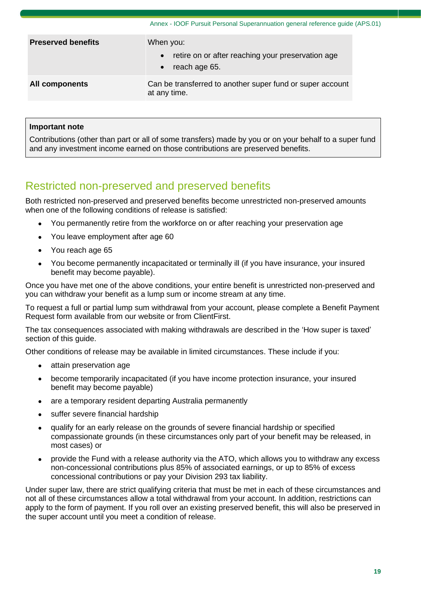|                           | Annex - IOOF Pursuit Personal Superannuation general reference guide (APS.01)                             |
|---------------------------|-----------------------------------------------------------------------------------------------------------|
| <b>Preserved benefits</b> | When you:<br>retire on or after reaching your preservation age<br>$\bullet$<br>reach age 65.<br>$\bullet$ |
| All components            | Can be transferred to another super fund or super account<br>at any time.                                 |

### **Important note**

Contributions (other than part or all of some transfers) made by you or on your behalf to a super fund and any investment income earned on those contributions are preserved benefits.

## Restricted non-preserved and preserved benefits

Both restricted non-preserved and preserved benefits become unrestricted non-preserved amounts when one of the following conditions of release is satisfied:

- You permanently retire from the workforce on or after reaching your preservation age
- You leave employment after age 60
- You reach age 65
- You become permanently incapacitated or terminally ill (if you have insurance, your insured benefit may become payable).

Once you have met one of the above conditions, your entire benefit is unrestricted non-preserved and you can withdraw your benefit as a lump sum or income stream at any time.

To request a full or partial lump sum withdrawal from your account, please complete a Benefit Payment Request form available from our website or from ClientFirst.

The tax consequences associated with making withdrawals are described in the 'How super is taxed' section of this guide.

Other conditions of release may be available in limited circumstances. These include if you:

- attain preservation age
- become temporarily incapacitated (if you have income protection insurance, your insured benefit may become payable)
- are a temporary resident departing Australia permanently
- suffer severe financial hardship
- qualify for an early release on the grounds of severe financial hardship or specified compassionate grounds (in these circumstances only part of your benefit may be released, in most cases) or
- provide the Fund with a release authority via the ATO, which allows you to withdraw any excess non-concessional contributions plus 85% of associated earnings, or up to 85% of excess concessional contributions or pay your Division 293 tax liability.

Under super law, there are strict qualifying criteria that must be met in each of these circumstances and not all of these circumstances allow a total withdrawal from your account. In addition, restrictions can apply to the form of payment. If you roll over an existing preserved benefit, this will also be preserved in the super account until you meet a condition of release.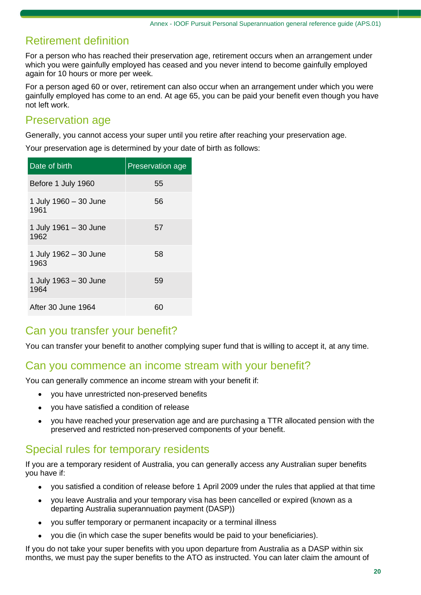### Retirement definition

For a person who has reached their preservation age, retirement occurs when an arrangement under which you were gainfully employed has ceased and you never intend to become gainfully employed again for 10 hours or more per week.

For a person aged 60 or over, retirement can also occur when an arrangement under which you were gainfully employed has come to an end. At age 65, you can be paid your benefit even though you have not left work.

### Preservation age

Generally, you cannot access your super until you retire after reaching your preservation age.

Your preservation age is determined by your date of birth as follows:

| Date of birth                 | <b>Preservation age</b> |
|-------------------------------|-------------------------|
| Before 1 July 1960            | 55                      |
| 1 July 1960 - 30 June<br>1961 | 56                      |
| 1 July 1961 - 30 June<br>1962 | 57                      |
| 1 July 1962 - 30 June<br>1963 | 58                      |
| 1 July 1963 - 30 June<br>1964 | 59                      |
| After 30 June 1964            | 60                      |

# Can you transfer your benefit?

You can transfer your benefit to another complying super fund that is willing to accept it, at any time.

### Can you commence an income stream with your benefit?

You can generally commence an income stream with your benefit if:

- you have unrestricted non-preserved benefits
- you have satisfied a condition of release
- you have reached your preservation age and are purchasing a TTR allocated pension with the preserved and restricted non-preserved components of your benefit.

### Special rules for temporary residents

If you are a temporary resident of Australia, you can generally access any Australian super benefits you have if:

- you satisfied a condition of release before 1 April 2009 under the rules that applied at that time
- you leave Australia and your temporary visa has been cancelled or expired (known as a departing Australia superannuation payment (DASP))
- you suffer temporary or permanent incapacity or a terminal illness
- you die (in which case the super benefits would be paid to your beneficiaries).

If you do not take your super benefits with you upon departure from Australia as a DASP within six months, we must pay the super benefits to the ATO as instructed. You can later claim the amount of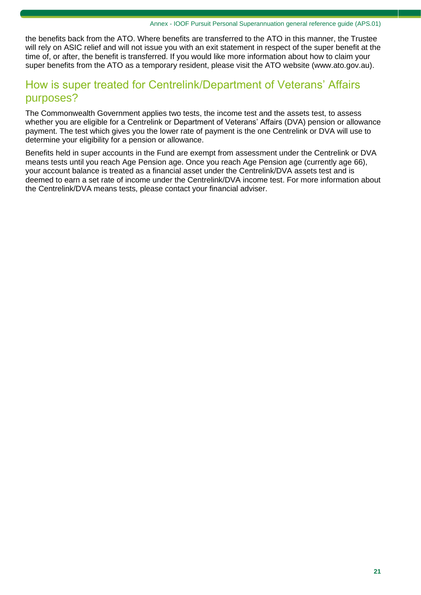the benefits back from the ATO. Where benefits are transferred to the ATO in this manner, the Trustee will rely on ASIC relief and will not issue you with an exit statement in respect of the super benefit at the time of, or after, the benefit is transferred. If you would like more information about how to claim your super benefits from the ATO as a temporary resident, please visit the ATO website (www[.ato.gov.au\)](http://www.ato.gov.au/).

### How is super treated for Centrelink/Department of Veterans' Affairs purposes?

The Commonwealth Government applies two tests, the income test and the assets test, to assess whether you are eligible for a Centrelink or Department of Veterans' Affairs (DVA) pension or allowance payment. The test which gives you the lower rate of payment is the one Centrelink or DVA will use to determine your eligibility for a pension or allowance.

Benefits held in super accounts in the Fund are exempt from assessment under the Centrelink or DVA means tests until you reach Age Pension age. Once you reach Age Pension age (currently age 66), your account balance is treated as a financial asset under the Centrelink/DVA assets test and is deemed to earn a set rate of income under the Centrelink/DVA income test. For more information about the Centrelink/DVA means tests, please contact your financial adviser.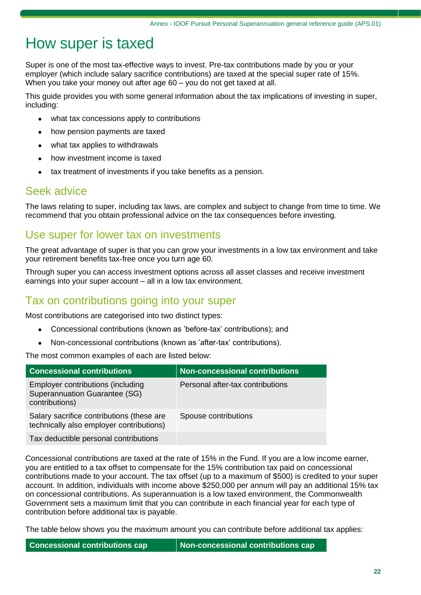# How super is taxed

Super is one of the most tax-effective ways to invest. Pre-tax contributions made by you or your employer (which include salary sacrifice contributions) are taxed at the special super rate of 15%. When you take your money out after age 60 – you do not get taxed at all.

This guide provides you with some general information about the tax implications of investing in super, including:

- what tax concessions apply to contributions
- how pension payments are taxed
- what tax applies to withdrawals
- how investment income is taxed
- tax treatment of investments if you take benefits as a pension.

### Seek advice

The laws relating to super, including tax laws, are complex and subject to change from time to time. We recommend that you obtain professional advice on the tax consequences before investing.

### Use super for lower tax on investments

The great advantage of super is that you can grow your investments in a low tax environment and take your retirement benefits tax-free once you turn age 60.

Through super you can access investment options across all asset classes and receive investment earnings into your super account – all in a low tax environment.

### Tax on contributions going into your super

Most contributions are categorised into two distinct types:

- Concessional contributions (known as 'before-tax' contributions); and
- Non-concessional contributions (known as 'after-tax' contributions).

The most common examples of each are listed below:

| <b>Concessional contributions</b>                                                           | <b>Non-concessional contributions</b> |
|---------------------------------------------------------------------------------------------|---------------------------------------|
| <b>Employer contributions (including</b><br>Superannuation Guarantee (SG)<br>contributions) | Personal after-tax contributions      |
| Salary sacrifice contributions (these are<br>technically also employer contributions)       | Spouse contributions                  |
| Tax deductible personal contributions                                                       |                                       |

Concessional contributions are taxed at the rate of 15% in the Fund. If you are a low income earner, you are entitled to a tax offset to compensate for the 15% contribution tax paid on concessional contributions made to your account. The tax offset (up to a maximum of \$500) is credited to your super account. In addition, individuals with income above \$250,000 per annum will pay an additional 15% tax on concessional contributions. As superannuation is a low taxed environment, the Commonwealth Government sets a maximum limit that you can contribute in each financial year for each type of contribution before additional tax is payable.

The table below shows you the maximum amount you can contribute before additional tax applies: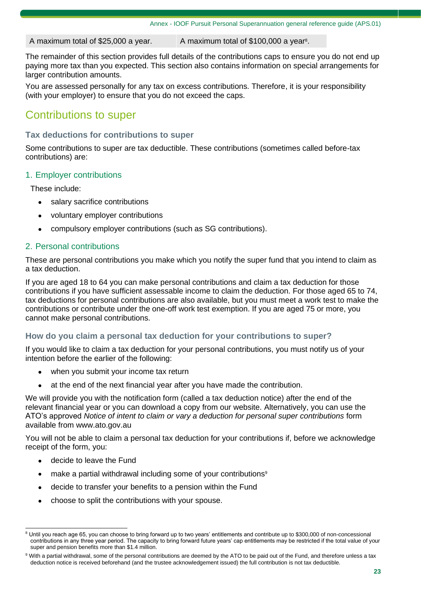A maximum total of \$25,000 a year.  $\blacksquare$  A maximum total of \$100,000 a year<sup>8</sup>.

The remainder of this section provides full details of the contributions caps to ensure you do not end up paying more tax than you expected. This section also contains information on special arrangements for larger contribution amounts.

You are assessed personally for any tax on excess contributions. Therefore, it is your responsibility (with your employer) to ensure that you do not exceed the caps.

## Contributions to super

### **Tax deductions for contributions to super**

Some contributions to super are tax deductible. These contributions (sometimes called before-tax contributions) are:

### 1. Employer contributions

These include:

- salary sacrifice contributions
- voluntary employer contributions
- compulsory employer contributions (such as SG contributions).

### 2. Personal contributions

These are personal contributions you make which you notify the super fund that you intend to claim as a tax deduction.

If you are aged 18 to 64 you can make personal contributions and claim a tax deduction for those contributions if you have sufficient assessable income to claim the deduction. For those aged 65 to 74, tax deductions for personal contributions are also available, but you must meet a work test to make the contributions or contribute under the one-off work test exemption. If you are aged 75 or more, you cannot make personal contributions.

#### **How do you claim a personal tax deduction for your contributions to super?**

If you would like to claim a tax deduction for your personal contributions, you must notify us of your intention before the earlier of the following:

- when you submit your income tax return
- at the end of the next financial year after you have made the contribution.

We will provide you with the notification form (called a tax deduction notice) after the end of the relevant financial year or you can download a copy from our website. Alternatively, you can use the ATO's approved *Notice of intent to claim or vary a deduction for personal super contributions* form available from www[.ato.gov.au](http://www.ato.gov.au/)

You will not be able to claim a personal tax deduction for your contributions if, before we acknowledge receipt of the form, you:

- decide to leave the Fund
- make a partial withdrawal including some of your contributions<sup>9</sup>
- decide to transfer your benefits to a pension within the Fund
- choose to split the contributions with your spouse.

<sup>&</sup>lt;sup>8</sup> Until you reach age 65, you can choose to bring forward up to two years' entitlements and contribute up to \$300,000 of non-concessional contributions in any three year period. The capacity to bring forward future years' cap entitlements may be restricted if the total value of your super and pension benefits more than \$1.4 million.

<sup>9</sup> With a partial withdrawal, some of the personal contributions are deemed by the ATO to be paid out of the Fund, and therefore unless a tax deduction notice is received beforehand (and the trustee acknowledgement issued) the full contribution is not tax deductible.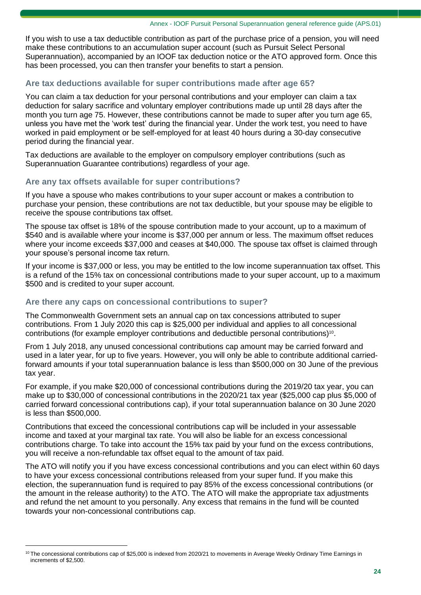If you wish to use a tax deductible contribution as part of the purchase price of a pension, you will need make these contributions to an accumulation super account (such as Pursuit Select Personal Superannuation), accompanied by an IOOF tax deduction notice or the ATO approved form. Once this has been processed, you can then transfer your benefits to start a pension.

### **Are tax deductions available for super contributions made after age 65?**

You can claim a tax deduction for your personal contributions and your employer can claim a tax deduction for salary sacrifice and voluntary employer contributions made up until 28 days after the month you turn age 75. However, these contributions cannot be made to super after you turn age 65, unless you have met the 'work test' during the financial year. Under the work test, you need to have worked in paid employment or be self-employed for at least 40 hours during a 30-day consecutive period during the financial year.

Tax deductions are available to the employer on compulsory employer contributions (such as Superannuation Guarantee contributions) regardless of your age.

### **Are any tax offsets available for super contributions?**

If you have a spouse who makes contributions to your super account or makes a contribution to purchase your pension, these contributions are not tax deductible, but your spouse may be eligible to receive the spouse contributions tax offset.

The spouse tax offset is 18% of the spouse contribution made to your account, up to a maximum of \$540 and is available where your income is \$37,000 per annum or less. The maximum offset reduces where your income exceeds \$37,000 and ceases at \$40,000. The spouse tax offset is claimed through your spouse's personal income tax return.

If your income is \$37,000 or less, you may be entitled to the low income superannuation tax offset. This is a refund of the 15% tax on concessional contributions made to your super account, up to a maximum \$500 and is credited to your super account.

### **Are there any caps on concessional contributions to super?**

The Commonwealth Government sets an annual cap on tax concessions attributed to super contributions. From 1 July 2020 this cap is \$25,000 per individual and applies to all concessional contributions (for example employer contributions and deductible personal contributions)<sup>10</sup> .

From 1 July 2018, any unused concessional contributions cap amount may be carried forward and used in a later year, for up to five years. However, you will only be able to contribute additional carriedforward amounts if your total superannuation balance is less than \$500,000 on 30 June of the previous tax year.

For example, if you make \$20,000 of concessional contributions during the 2019/20 tax year, you can make up to \$30,000 of concessional contributions in the 2020/21 tax year (\$25,000 cap plus \$5,000 of carried forward concessional contributions cap), if your total superannuation balance on 30 June 2020 is less than \$500,000.

Contributions that exceed the concessional contributions cap will be included in your assessable income and taxed at your marginal tax rate. You will also be liable for an excess concessional contributions charge. To take into account the 15% tax paid by your fund on the excess contributions, you will receive a non-refundable tax offset equal to the amount of tax paid.

The ATO will notify you if you have excess concessional contributions and you can elect within 60 days to have your excess concessional contributions released from your super fund. If you make this election, the superannuation fund is required to pay 85% of the excess concessional contributions (or the amount in the release authority) to the ATO. The ATO will make the appropriate tax adjustments and refund the net amount to you personally. Any excess that remains in the fund will be counted towards your non-concessional contributions cap.

<sup>&</sup>lt;sup>10</sup> The concessional contributions cap of \$25,000 is indexed from 2020/21 to movements in Average Weekly Ordinary Time Earnings in increments of \$2,500.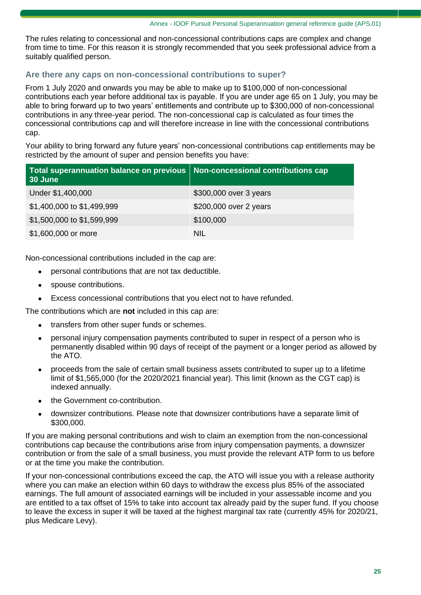The rules relating to concessional and non-concessional contributions caps are complex and change from time to time. For this reason it is strongly recommended that you seek professional advice from a suitably qualified person.

### **Are there any caps on non-concessional contributions to super?**

From 1 July 2020 and onwards you may be able to make up to \$100,000 of non-concessional contributions each year before additional tax is payable. If you are under age 65 on 1 July, you may be able to bring forward up to two years' entitlements and contribute up to \$300,000 of non-concessional contributions in any three-year period. The non-concessional cap is calculated as four times the concessional contributions cap and will therefore increase in line with the concessional contributions cap.

Your ability to bring forward any future years' non-concessional contributions cap entitlements may be restricted by the amount of super and pension benefits you have:

| Total superannuation balance on previous   Non-concessional contributions cap<br>30 June |                        |
|------------------------------------------------------------------------------------------|------------------------|
| Under \$1,400,000                                                                        | \$300,000 over 3 years |
| \$1,400,000 to \$1,499,999                                                               | \$200,000 over 2 years |
| \$1,500,000 to \$1,599,999                                                               | \$100,000              |
| \$1,600,000 or more                                                                      | <b>NIL</b>             |

Non-concessional contributions included in the cap are:

- personal contributions that are not tax deductible.
- spouse contributions.
- Excess concessional contributions that you elect not to have refunded.

The contributions which are **not** included in this cap are:

- transfers from other super funds or schemes.
- personal injury compensation payments contributed to super in respect of a person who is permanently disabled within 90 days of receipt of the payment or a longer period as allowed by the ATO.
- proceeds from the sale of certain small business assets contributed to super up to a lifetime limit of \$1,565,000 (for the 2020/2021 financial year). This limit (known as the CGT cap) is indexed annually.
- the Government co-contribution.
- downsizer contributions. Please note that downsizer contributions have a separate limit of \$300,000.

If you are making personal contributions and wish to claim an exemption from the non-concessional contributions cap because the contributions arise from injury compensation payments, a downsizer contribution or from the sale of a small business, you must provide the relevant ATP form to us before or at the time you make the contribution.

If your non-concessional contributions exceed the cap, the ATO will issue you with a release authority where you can make an election within 60 days to withdraw the excess plus 85% of the associated earnings. The full amount of associated earnings will be included in your assessable income and you are entitled to a tax offset of 15% to take into account tax already paid by the super fund. If you choose to leave the excess in super it will be taxed at the highest marginal tax rate (currently 45% for 2020/21, plus Medicare Levy).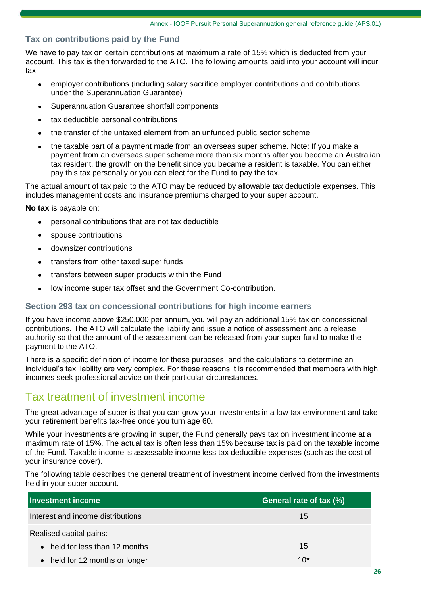### **Tax on contributions paid by the Fund**

We have to pay tax on certain contributions at maximum a rate of 15% which is deducted from your account. This tax is then forwarded to the ATO. The following amounts paid into your account will incur tax:

- employer contributions (including salary sacrifice employer contributions and contributions under the Superannuation Guarantee)
- Superannuation Guarantee shortfall components
- tax deductible personal contributions
- the transfer of the untaxed element from an unfunded public sector scheme
- the taxable part of a payment made from an overseas super scheme. Note: If you make a payment from an overseas super scheme more than six months after you become an Australian tax resident, the growth on the benefit since you became a resident is taxable. You can either pay this tax personally or you can elect for the Fund to pay the tax.

The actual amount of tax paid to the ATO may be reduced by allowable tax deductible expenses. This includes management costs and insurance premiums charged to your super account.

**No tax** is payable on:

- personal contributions that are not tax deductible
- spouse contributions
- downsizer contributions
- transfers from other taxed super funds
- transfers between super products within the Fund
- low income super tax offset and the Government Co-contribution.

#### **Section 293 tax on concessional contributions for high income earners**

If you have income above \$250,000 per annum, you will pay an additional 15% tax on concessional contributions. The ATO will calculate the liability and issue a notice of assessment and a release authority so that the amount of the assessment can be released from your super fund to make the payment to the ATO.

There is a specific definition of income for these purposes, and the calculations to determine an individual's tax liability are very complex. For these reasons it is recommended that members with high incomes seek professional advice on their particular circumstances.

### Tax treatment of investment income

The great advantage of super is that you can grow your investments in a low tax environment and take your retirement benefits tax-free once you turn age 60.

While your investments are growing in super, the Fund generally pays tax on investment income at a maximum rate of 15%. The actual tax is often less than 15% because tax is paid on the taxable income of the Fund. Taxable income is assessable income less tax deductible expenses (such as the cost of your insurance cover).

The following table describes the general treatment of investment income derived from the investments held in your super account.

| <b>Investment income</b>               | General rate of tax (%) |
|----------------------------------------|-------------------------|
| Interest and income distributions      | 15                      |
| Realised capital gains:                |                         |
| $\bullet$ held for less than 12 months | 15                      |
| • held for 12 months or longer         | $10*$                   |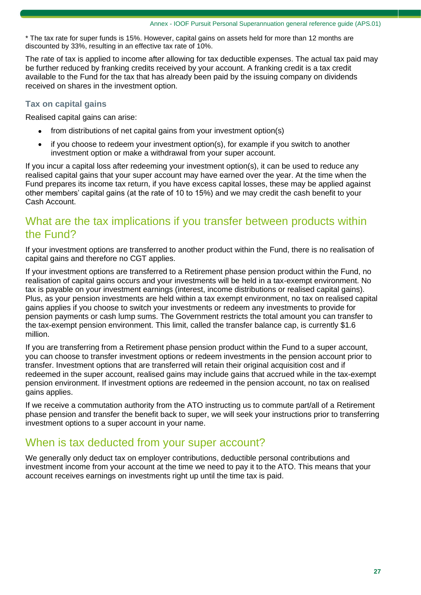\* The tax rate for super funds is 15%. However, capital gains on assets held for more than 12 months are discounted by 33%, resulting in an effective tax rate of 10%.

The rate of tax is applied to income after allowing for tax deductible expenses. The actual tax paid may be further reduced by franking credits received by your account. A franking credit is a tax credit available to the Fund for the tax that has already been paid by the issuing company on dividends received on shares in the investment option.

### **Tax on capital gains**

Realised capital gains can arise:

- from distributions of net capital gains from your investment option(s)
- if you choose to redeem your investment option(s), for example if you switch to another investment option or make a withdrawal from your super account.

If you incur a capital loss after redeeming your investment option(s), it can be used to reduce any realised capital gains that your super account may have earned over the year. At the time when the Fund prepares its income tax return, if you have excess capital losses, these may be applied against other members' capital gains (at the rate of 10 to 15%) and we may credit the cash benefit to your Cash Account.

### What are the tax implications if you transfer between products within the Fund?

If your investment options are transferred to another product within the Fund, there is no realisation of capital gains and therefore no CGT applies.

If your investment options are transferred to a Retirement phase pension product within the Fund, no realisation of capital gains occurs and your investments will be held in a tax-exempt environment. No tax is payable on your investment earnings (interest, income distributions or realised capital gains). Plus, as your pension investments are held within a tax exempt environment, no tax on realised capital gains applies if you choose to switch your investments or redeem any investments to provide for pension payments or cash lump sums. The Government restricts the total amount you can transfer to the tax-exempt pension environment. This limit, called the transfer balance cap, is currently \$1.6 million.

If you are transferring from a Retirement phase pension product within the Fund to a super account, you can choose to transfer investment options or redeem investments in the pension account prior to transfer. Investment options that are transferred will retain their original acquisition cost and if redeemed in the super account, realised gains may include gains that accrued while in the tax-exempt pension environment. If investment options are redeemed in the pension account, no tax on realised gains applies.

If we receive a commutation authority from the ATO instructing us to commute part/all of a Retirement phase pension and transfer the benefit back to super, we will seek your instructions prior to transferring investment options to a super account in your name.

### When is tax deducted from your super account?

We generally only deduct tax on employer contributions, deductible personal contributions and investment income from your account at the time we need to pay it to the ATO. This means that your account receives earnings on investments right up until the time tax is paid.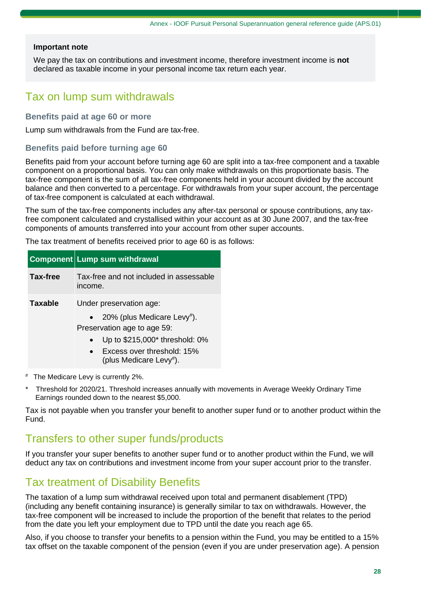#### **Important note**

We pay the tax on contributions and investment income, therefore investment income is **not** declared as taxable income in your personal income tax return each year.

### Tax on lump sum withdrawals

#### **Benefits paid at age 60 or more**

Lump sum withdrawals from the Fund are tax-free.

#### **Benefits paid before turning age 60**

Benefits paid from your account before turning age 60 are split into a tax-free component and a taxable component on a proportional basis. You can only make withdrawals on this proportionate basis. The tax-free component is the sum of all tax-free components held in your account divided by the account balance and then converted to a percentage. For withdrawals from your super account, the percentage of tax-free component is calculated at each withdrawal.

The sum of the tax-free components includes any after-tax personal or spouse contributions, any taxfree component calculated and crystallised within your account as at 30 June 2007, and the tax-free components of amounts transferred into your account from other super accounts.

The tax treatment of benefits received prior to age 60 is as follows:

#### **Component Lump sum withdrawal**

| Tax-free       | Tax-free and not included in assessable<br>income.                                                                                                                                                       |
|----------------|----------------------------------------------------------------------------------------------------------------------------------------------------------------------------------------------------------|
| <b>Taxable</b> | Under preservation age:<br>20% (plus Medicare Levy <sup>#</sup> ).<br>Preservation age to age 59:<br>Up to \$215,000* threshold: 0%<br>Excess over threshold: 15%<br>$\bullet$<br>(plus Medicare Levy#). |

- The Medicare Levy is currently 2%.
- Threshold for 2020/21. Threshold increases annually with movements in Average Weekly Ordinary Time Earnings rounded down to the nearest \$5,000.

Tax is not payable when you transfer your benefit to another super fund or to another product within the Fund.

### Transfers to other super funds/products

If you transfer your super benefits to another super fund or to another product within the Fund, we will deduct any tax on contributions and investment income from your super account prior to the transfer.

### Tax treatment of Disability Benefits

The taxation of a lump sum withdrawal received upon total and permanent disablement (TPD) (including any benefit containing insurance) is generally similar to tax on withdrawals. However, the tax-free component will be increased to include the proportion of the benefit that relates to the period from the date you left your employment due to TPD until the date you reach age 65.

Also, if you choose to transfer your benefits to a pension within the Fund, you may be entitled to a 15% tax offset on the taxable component of the pension (even if you are under preservation age). A pension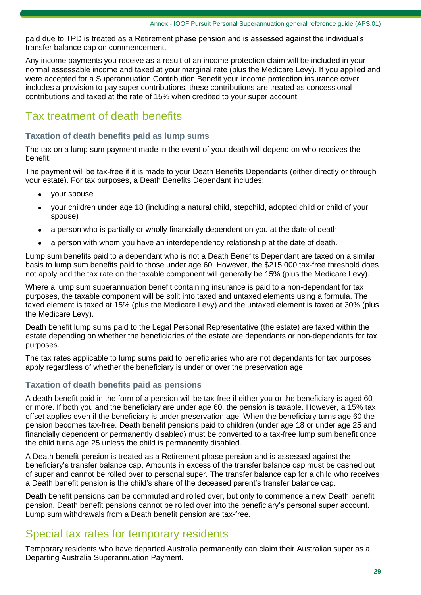paid due to TPD is treated as a Retirement phase pension and is assessed against the individual's transfer balance cap on commencement.

Any income payments you receive as a result of an income protection claim will be included in your normal assessable income and taxed at your marginal rate (plus the Medicare Levy). If you applied and were accepted for a Superannuation Contribution Benefit your income protection insurance cover includes a provision to pay super contributions, these contributions are treated as concessional contributions and taxed at the rate of 15% when credited to your super account.

# Tax treatment of death benefits

#### **Taxation of death benefits paid as lump sums**

The tax on a lump sum payment made in the event of your death will depend on who receives the benefit.

The payment will be tax-free if it is made to your Death Benefits Dependants (either directly or through your estate). For tax purposes, a Death Benefits Dependant includes:

- your spouse
- your children under age 18 (including a natural child, stepchild, adopted child or child of your spouse)
- a person who is partially or wholly financially dependent on you at the date of death
- a person with whom you have an interdependency relationship at the date of death.

Lump sum benefits paid to a dependant who is not a Death Benefits Dependant are taxed on a similar basis to lump sum benefits paid to those under age 60. However, the \$215,000 tax-free threshold does not apply and the tax rate on the taxable component will generally be 15% (plus the Medicare Levy).

Where a lump sum superannuation benefit containing insurance is paid to a non-dependant for tax purposes, the taxable component will be split into taxed and untaxed elements using a formula. The taxed element is taxed at 15% (plus the Medicare Levy) and the untaxed element is taxed at 30% (plus the Medicare Levy).

Death benefit lump sums paid to the Legal Personal Representative (the estate) are taxed within the estate depending on whether the beneficiaries of the estate are dependants or non-dependants for tax purposes.

The tax rates applicable to lump sums paid to beneficiaries who are not dependants for tax purposes apply regardless of whether the beneficiary is under or over the preservation age.

#### **Taxation of death benefits paid as pensions**

A death benefit paid in the form of a pension will be tax-free if either you or the beneficiary is aged 60 or more. If both you and the beneficiary are under age 60, the pension is taxable. However, a 15% tax offset applies even if the beneficiary is under preservation age. When the beneficiary turns age 60 the pension becomes tax-free. Death benefit pensions paid to children (under age 18 or under age 25 and financially dependent or permanently disabled) must be converted to a tax-free lump sum benefit once the child turns age 25 unless the child is permanently disabled.

A Death benefit pension is treated as a Retirement phase pension and is assessed against the beneficiary's transfer balance cap. Amounts in excess of the transfer balance cap must be cashed out of super and cannot be rolled over to personal super. The transfer balance cap for a child who receives a Death benefit pension is the child's share of the deceased parent's transfer balance cap.

Death benefit pensions can be commuted and rolled over, but only to commence a new Death benefit pension. Death benefit pensions cannot be rolled over into the beneficiary's personal super account. Lump sum withdrawals from a Death benefit pension are tax-free.

### Special tax rates for temporary residents

Temporary residents who have departed Australia permanently can claim their Australian super as a Departing Australia Superannuation Payment.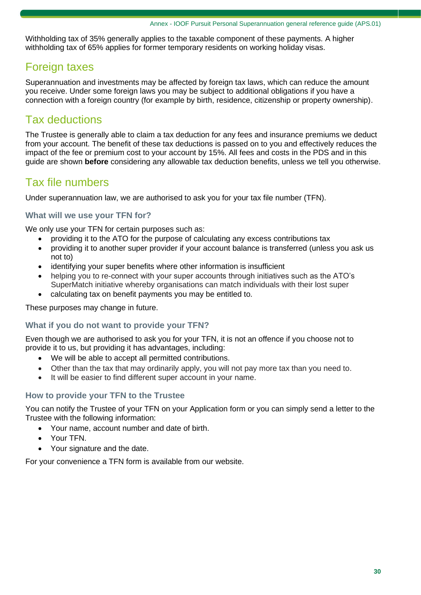Withholding tax of 35% generally applies to the taxable component of these payments. A higher withholding tax of 65% applies for former temporary residents on working holiday visas.

# Foreign taxes

Superannuation and investments may be affected by foreign tax laws, which can reduce the amount you receive. Under some foreign laws you may be subject to additional obligations if you have a connection with a foreign country (for example by birth, residence, citizenship or property ownership).

# Tax deductions

The Trustee is generally able to claim a tax deduction for any fees and insurance premiums we deduct from your account. The benefit of these tax deductions is passed on to you and effectively reduces the impact of the fee or premium cost to your account by 15%. All fees and costs in the PDS and in this guide are shown **before** considering any allowable tax deduction benefits, unless we tell you otherwise.

# Tax file numbers

Under superannuation law, we are authorised to ask you for your tax file number (TFN).

### **What will we use your TFN for?**

We only use your TFN for certain purposes such as:

- providing it to the ATO for the purpose of calculating any excess contributions tax
- providing it to another super provider if your account balance is transferred (unless you ask us not to)
- identifying your super benefits where other information is insufficient
- helping you to re-connect with your super accounts through initiatives such as the ATO's SuperMatch initiative whereby organisations can match individuals with their lost super
- calculating tax on benefit payments you may be entitled to.

These purposes may change in future.

### **What if you do not want to provide your TFN?**

Even though we are authorised to ask you for your TFN, it is not an offence if you choose not to provide it to us, but providing it has advantages, including:

- We will be able to accept all permitted contributions.
- Other than the tax that may ordinarily apply, you will not pay more tax than you need to.
- It will be easier to find different super account in your name.

### **How to provide your TFN to the Trustee**

You can notify the Trustee of your TFN on your Application form or you can simply send a letter to the Trustee with the following information:

- Your name, account number and date of birth.
- Your TFN.
- Your signature and the date.

For your convenience a TFN form is available from our website.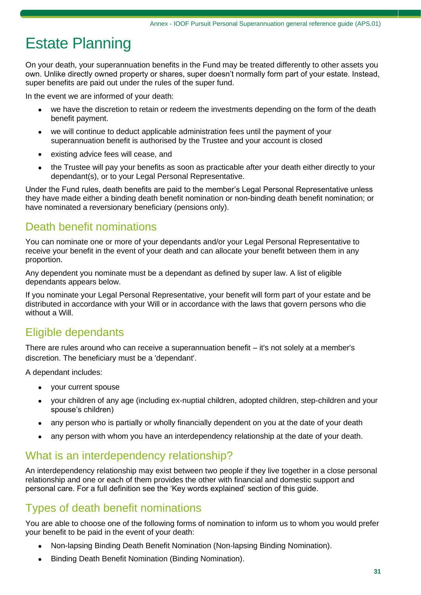# Estate Planning

On your death, your superannuation benefits in the Fund may be treated differently to other assets you own. Unlike directly owned property or shares, super doesn't normally form part of your estate. Instead, super benefits are paid out under the rules of the super fund.

In the event we are informed of your death:

- we have the discretion to retain or redeem the investments depending on the form of the death benefit payment.
- we will continue to deduct applicable administration fees until the payment of your superannuation benefit is authorised by the Trustee and your account is closed
- existing advice fees will cease, and
- the Trustee will pay your benefits as soon as practicable after your death either directly to your dependant(s), or to your Legal Personal Representative.

Under the Fund rules, death benefits are paid to the member's Legal Personal Representative unless they have made either a binding death benefit nomination or non-binding death benefit nomination; or have nominated a reversionary beneficiary (pensions only).

# Death benefit nominations

You can nominate one or more of your dependants and/or your Legal Personal Representative to receive your benefit in the event of your death and can allocate your benefit between them in any proportion.

Any dependent you nominate must be a dependant as defined by super law. A list of eligible dependants appears below.

If you nominate your Legal Personal Representative, your benefit will form part of your estate and be distributed in accordance with your Will or in accordance with the laws that govern persons who die without a Will.

# Eligible dependants

There are rules around who can receive a superannuation benefit – it's not solely at a member's discretion. The beneficiary must be a 'dependant'.

A dependant includes:

- your current spouse
- your children of any age (including ex-nuptial children, adopted children, step-children and your spouse's children)
- any person who is partially or wholly financially dependent on you at the date of your death
- any person with whom you have an interdependency relationship at the date of your death.

### What is an interdependency relationship?

An interdependency relationship may exist between two people if they live together in a close personal relationship and one or each of them provides the other with financial and domestic support and personal care. For a full definition see the 'Key words explained' section of this guide.

### Types of death benefit nominations

You are able to choose one of the following forms of nomination to inform us to whom you would prefer your benefit to be paid in the event of your death:

- Non-lapsing Binding Death Benefit Nomination (Non-lapsing Binding Nomination).
- Binding Death Benefit Nomination (Binding Nomination).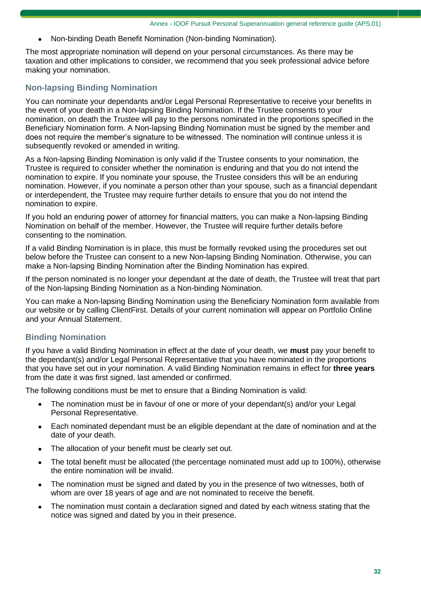• Non-binding Death Benefit Nomination (Non-binding Nomination).

The most appropriate nomination will depend on your personal circumstances. As there may be taxation and other implications to consider, we recommend that you seek professional advice before making your nomination.

### **Non-lapsing Binding Nomination**

You can nominate your dependants and/or Legal Personal Representative to receive your benefits in the event of your death in a Non-lapsing Binding Nomination. If the Trustee consents to your nomination, on death the Trustee will pay to the persons nominated in the proportions specified in the Beneficiary Nomination form. A Non-lapsing Binding Nomination must be signed by the member and does not require the member's signature to be witnessed. The nomination will continue unless it is subsequently revoked or amended in writing.

As a Non-lapsing Binding Nomination is only valid if the Trustee consents to your nomination, the Trustee is required to consider whether the nomination is enduring and that you do not intend the nomination to expire. If you nominate your spouse, the Trustee considers this will be an enduring nomination. However, if you nominate a person other than your spouse, such as a financial dependant or interdependent, the Trustee may require further details to ensure that you do not intend the nomination to expire.

If you hold an enduring power of attorney for financial matters, you can make a Non-lapsing Binding Nomination on behalf of the member. However, the Trustee will require further details before consenting to the nomination.

If a valid Binding Nomination is in place, this must be formally revoked using the procedures set out below before the Trustee can consent to a new Non-lapsing Binding Nomination. Otherwise, you can make a Non-lapsing Binding Nomination after the Binding Nomination has expired.

If the person nominated is no longer your dependant at the date of death, the Trustee will treat that part of the Non-lapsing Binding Nomination as a Non-binding Nomination.

You can make a Non-lapsing Binding Nomination using the Beneficiary Nomination form available from our website or by calling ClientFirst. Details of your current nomination will appear on Portfolio Online and your Annual Statement.

### **Binding Nomination**

If you have a valid Binding Nomination in effect at the date of your death, we **must** pay your benefit to the dependant(s) and/or Legal Personal Representative that you have nominated in the proportions that you have set out in your nomination. A valid Binding Nomination remains in effect for **three years** from the date it was first signed, last amended or confirmed.

The following conditions must be met to ensure that a Binding Nomination is valid:

- The nomination must be in favour of one or more of your dependant(s) and/or your Legal Personal Representative.
- Each nominated dependant must be an eligible dependant at the date of nomination and at the date of your death.
- The allocation of your benefit must be clearly set out.
- The total benefit must be allocated (the percentage nominated must add up to 100%), otherwise the entire nomination will be invalid.
- The nomination must be signed and dated by you in the presence of two witnesses, both of whom are over 18 years of age and are not nominated to receive the benefit.
- The nomination must contain a declaration signed and dated by each witness stating that the notice was signed and dated by you in their presence.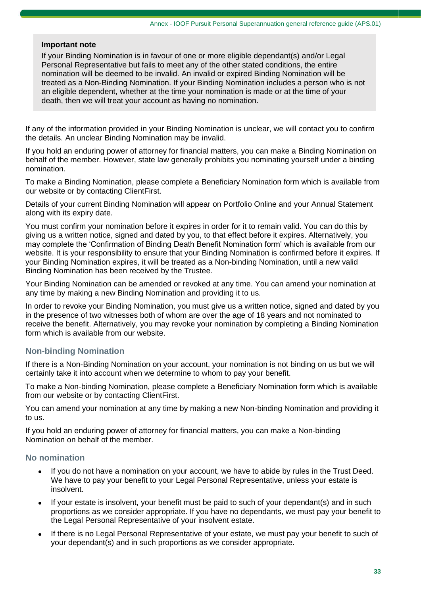#### **Important note**

If your Binding Nomination is in favour of one or more eligible dependant(s) and/or Legal Personal Representative but fails to meet any of the other stated conditions, the entire nomination will be deemed to be invalid. An invalid or expired Binding Nomination will be treated as a Non-Binding Nomination. If your Binding Nomination includes a person who is not an eligible dependent, whether at the time your nomination is made or at the time of your death, then we will treat your account as having no nomination.

If any of the information provided in your Binding Nomination is unclear, we will contact you to confirm the details. An unclear Binding Nomination may be invalid.

If you hold an enduring power of attorney for financial matters, you can make a Binding Nomination on behalf of the member. However, state law generally prohibits you nominating yourself under a binding nomination.

To make a Binding Nomination, please complete a Beneficiary Nomination form which is available from our website or by contacting ClientFirst.

Details of your current Binding Nomination will appear on Portfolio Online and your Annual Statement along with its expiry date.

You must confirm your nomination before it expires in order for it to remain valid. You can do this by giving us a written notice, signed and dated by you, to that effect before it expires. Alternatively, you may complete the 'Confirmation of Binding Death Benefit Nomination form' which is available from our website. It is your responsibility to ensure that your Binding Nomination is confirmed before it expires. If your Binding Nomination expires, it will be treated as a Non-binding Nomination, until a new valid Binding Nomination has been received by the Trustee.

Your Binding Nomination can be amended or revoked at any time. You can amend your nomination at any time by making a new Binding Nomination and providing it to us.

In order to revoke your Binding Nomination, you must give us a written notice, signed and dated by you in the presence of two witnesses both of whom are over the age of 18 years and not nominated to receive the benefit. Alternatively, you may revoke your nomination by completing a Binding Nomination form which is available from our website.

### **Non-binding Nomination**

If there is a Non-Binding Nomination on your account, your nomination is not binding on us but we will certainly take it into account when we determine to whom to pay your benefit.

To make a Non-binding Nomination, please complete a Beneficiary Nomination form which is available from our website or by contacting ClientFirst.

You can amend your nomination at any time by making a new Non-binding Nomination and providing it to us.

If you hold an enduring power of attorney for financial matters, you can make a Non-binding Nomination on behalf of the member.

#### **No nomination**

- If you do not have a nomination on your account, we have to abide by rules in the Trust Deed. We have to pay your benefit to your Legal Personal Representative, unless your estate is insolvent.
- If your estate is insolvent, your benefit must be paid to such of your dependant(s) and in such proportions as we consider appropriate. If you have no dependants, we must pay your benefit to the Legal Personal Representative of your insolvent estate.
- If there is no Legal Personal Representative of your estate, we must pay your benefit to such of your dependant(s) and in such proportions as we consider appropriate.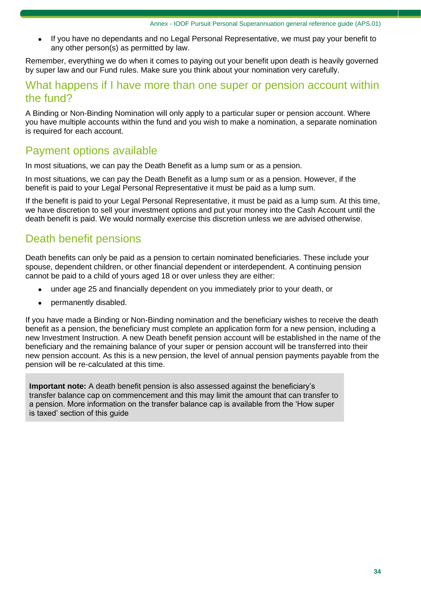• If you have no dependants and no Legal Personal Representative, we must pay your benefit to any other person(s) as permitted by law.

Remember, everything we do when it comes to paying out your benefit upon death is heavily governed by super law and our Fund rules. Make sure you think about your nomination very carefully.

### What happens if I have more than one super or pension account within the fund?

A Binding or Non-Binding Nomination will only apply to a particular super or pension account. Where you have multiple accounts within the fund and you wish to make a nomination, a separate nomination is required for each account.

## Payment options available

In most situations, we can pay the Death Benefit as a lump sum or as a pension.

In most situations, we can pay the Death Benefit as a lump sum or as a pension. However, if the benefit is paid to your Legal Personal Representative it must be paid as a lump sum.

If the benefit is paid to your Legal Personal Representative, it must be paid as a lump sum. At this time, we have discretion to sell your investment options and put your money into the Cash Account until the death benefit is paid. We would normally exercise this discretion unless we are advised otherwise.

## Death benefit pensions

Death benefits can only be paid as a pension to certain nominated beneficiaries. These include your spouse, dependent children, or other financial dependent or interdependent. A continuing pension cannot be paid to a child of yours aged 18 or over unless they are either:

- under age 25 and financially dependent on you immediately prior to your death, or
- permanently disabled.

If you have made a Binding or Non-Binding nomination and the beneficiary wishes to receive the death benefit as a pension, the beneficiary must complete an application form for a new pension, including a new Investment Instruction. A new Death benefit pension account will be established in the name of the beneficiary and the remaining balance of your super or pension account will be transferred into their new pension account. As this is a new pension, the level of annual pension payments payable from the pension will be re-calculated at this time.

**Important note:** A death benefit pension is also assessed against the beneficiary's transfer balance cap on commencement and this may limit the amount that can transfer to a pension. More information on the transfer balance cap is available from the 'How super is taxed' section of this guide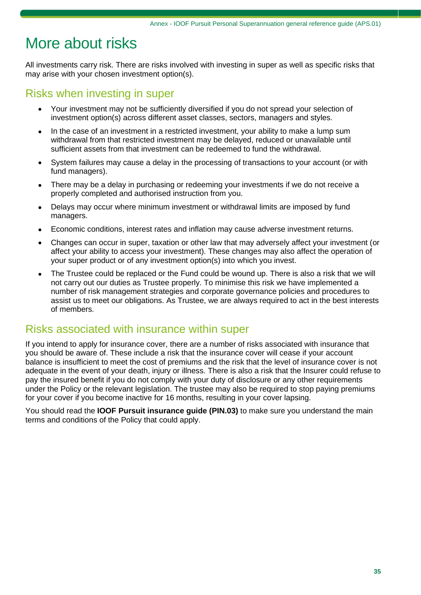# More about risks

All investments carry risk. There are risks involved with investing in super as well as specific risks that may arise with your chosen investment option(s).

# Risks when investing in super

- Your investment may not be sufficiently diversified if you do not spread your selection of investment option(s) across different asset classes, sectors, managers and styles.
- In the case of an investment in a restricted investment, your ability to make a lump sum withdrawal from that restricted investment may be delayed, reduced or unavailable until sufficient assets from that investment can be redeemed to fund the withdrawal.
- System failures may cause a delay in the processing of transactions to your account (or with fund managers).
- There may be a delay in purchasing or redeeming your investments if we do not receive a properly completed and authorised instruction from you.
- Delays may occur where minimum investment or withdrawal limits are imposed by fund managers.
- Economic conditions, interest rates and inflation may cause adverse investment returns.
- Changes can occur in super, taxation or other law that may adversely affect your investment (or affect your ability to access your investment). These changes may also affect the operation of your super product or of any investment option(s) into which you invest.
- The Trustee could be replaced or the Fund could be wound up. There is also a risk that we will not carry out our duties as Trustee properly. To minimise this risk we have implemented a number of risk management strategies and corporate governance policies and procedures to assist us to meet our obligations. As Trustee, we are always required to act in the best interests of members.

### Risks associated with insurance within super

If you intend to apply for insurance cover, there are a number of risks associated with insurance that you should be aware of. These include a risk that the insurance cover will cease if your account balance is insufficient to meet the cost of premiums and the risk that the level of insurance cover is not adequate in the event of your death, injury or illness. There is also a risk that the Insurer could refuse to pay the insured benefit if you do not comply with your duty of disclosure or any other requirements under the Policy or the relevant legislation. The trustee may also be required to stop paying premiums for your cover if you become inactive for 16 months, resulting in your cover lapsing.

You should read the **IOOF Pursuit insurance guide (PIN.03)** to make sure you understand the main terms and conditions of the Policy that could apply.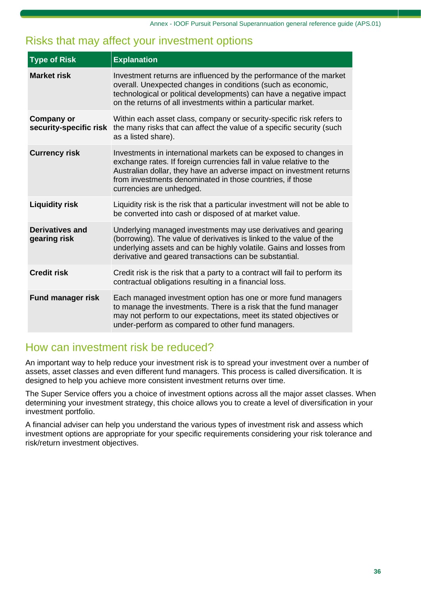## Risks that may affect your investment options

| <b>Type of Risk</b>                         | <b>Explanation</b>                                                                                                                                                                                                                                                                                        |
|---------------------------------------------|-----------------------------------------------------------------------------------------------------------------------------------------------------------------------------------------------------------------------------------------------------------------------------------------------------------|
| <b>Market risk</b>                          | Investment returns are influenced by the performance of the market<br>overall. Unexpected changes in conditions (such as economic,<br>technological or political developments) can have a negative impact<br>on the returns of all investments within a particular market.                                |
| <b>Company or</b><br>security-specific risk | Within each asset class, company or security-specific risk refers to<br>the many risks that can affect the value of a specific security (such<br>as a listed share).                                                                                                                                      |
| <b>Currency risk</b>                        | Investments in international markets can be exposed to changes in<br>exchange rates. If foreign currencies fall in value relative to the<br>Australian dollar, they have an adverse impact on investment returns<br>from investments denominated in those countries, if those<br>currencies are unhedged. |
| <b>Liquidity risk</b>                       | Liquidity risk is the risk that a particular investment will not be able to<br>be converted into cash or disposed of at market value.                                                                                                                                                                     |
| <b>Derivatives and</b><br>gearing risk      | Underlying managed investments may use derivatives and gearing<br>(borrowing). The value of derivatives is linked to the value of the<br>underlying assets and can be highly volatile. Gains and losses from<br>derivative and geared transactions can be substantial.                                    |
| <b>Credit risk</b>                          | Credit risk is the risk that a party to a contract will fail to perform its<br>contractual obligations resulting in a financial loss.                                                                                                                                                                     |
| <b>Fund manager risk</b>                    | Each managed investment option has one or more fund managers<br>to manage the investments. There is a risk that the fund manager<br>may not perform to our expectations, meet its stated objectives or<br>under-perform as compared to other fund managers.                                               |

### How can investment risk be reduced?

An important way to help reduce your investment risk is to spread your investment over a number of assets, asset classes and even different fund managers. This process is called diversification. It is designed to help you achieve more consistent investment returns over time.

The Super Service offers you a choice of investment options across all the major asset classes. When determining your investment strategy, this choice allows you to create a level of diversification in your investment portfolio.

A financial adviser can help you understand the various types of investment risk and assess which investment options are appropriate for your specific requirements considering your risk tolerance and risk/return investment objectives.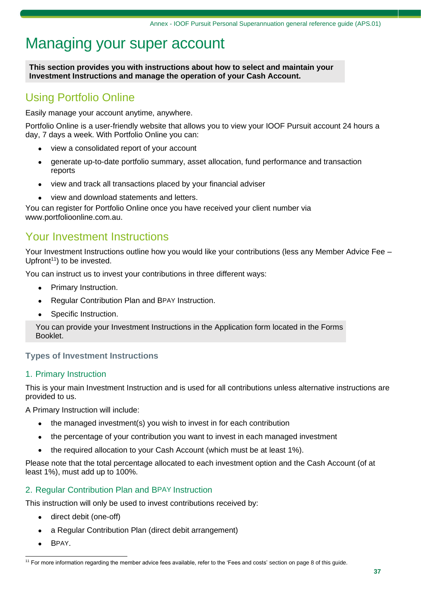# Managing your super account

**This section provides you with instructions about how to select and maintain your Investment Instructions and manage the operation of your Cash Account.**

### Using Portfolio Online

Easily manage your account anytime, anywhere.

Portfolio Online is a user-friendly website that allows you to view your IOOF Pursuit account 24 hours a day, 7 days a week. With Portfolio Online you can:

- view a consolidated report of your account
- generate up-to-date portfolio summary, asset allocation, fund performance and transaction reports
- view and track all transactions placed by your financial adviser
- view and download statements and letters.

You can register for Portfolio Online once you have received your client number via www[.portfolioonline.com.au.](http://www.portfolioonline.com.au/)

### Your Investment Instructions

Your Investment Instructions outline how you would like your contributions (less any Member Advice Fee – Upfront<sup>11</sup>) to be invested.

You can instruct us to invest your contributions in three different ways:

- Primary Instruction.
- Regular Contribution Plan and BPAY Instruction.
- Specific Instruction.

You can provide your Investment Instructions in the Application form located in the Forms Booklet.

### **Types of Investment Instructions**

### 1. Primary Instruction

This is your main Investment Instruction and is used for all contributions unless alternative instructions are provided to us.

A Primary Instruction will include:

- the managed investment(s) you wish to invest in for each contribution
- the percentage of your contribution you want to invest in each managed investment
- the required allocation to your Cash Account (which must be at least 1%).

Please note that the total percentage allocated to each investment option and the Cash Account (of at least 1%), must add up to 100%.

### 2. Regular Contribution Plan and BPAY Instruction

This instruction will only be used to invest contributions received by:

- direct debit (one-off)
- a Regular Contribution Plan (direct debit arrangement)
- BPAY.

<sup>&</sup>lt;sup>11</sup> For more information regarding the member advice fees available, refer to the 'Fees and costs' section on page 8 of this guide.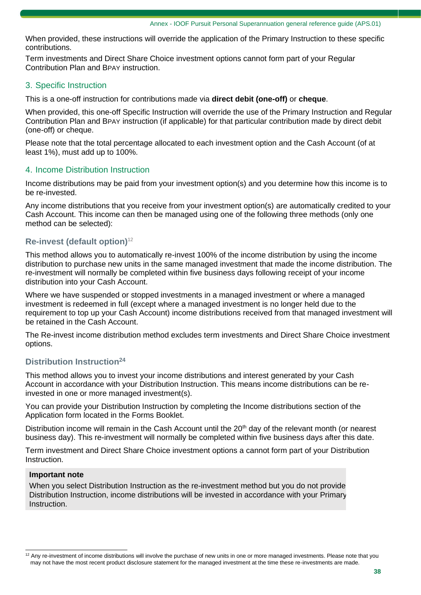When provided, these instructions will override the application of the Primary Instruction to these specific contributions.

Term investments and Direct Share Choice investment options cannot form part of your Regular Contribution Plan and BPAY instruction.

### 3. Specific Instruction

This is a one-off instruction for contributions made via **direct debit (one-off)** or **cheque**.

When provided, this one-off Specific Instruction will override the use of the Primary Instruction and Regular Contribution Plan and BPAY instruction (if applicable) for that particular contribution made by direct debit (one-off) or cheque.

Please note that the total percentage allocated to each investment option and the Cash Account (of at least 1%), must add up to 100%.

### 4. Income Distribution Instruction

Income distributions may be paid from your investment option(s) and you determine how this income is to be re-invested.

Any income distributions that you receive from your investment option(s) are automatically credited to your Cash Account. This income can then be managed using one of the following three methods (only one method can be selected):

### **Re-invest (default option)**<sup>12</sup>

This method allows you to automatically re-invest 100% of the income distribution by using the income distribution to purchase new units in the same managed investment that made the income distribution. The re-investment will normally be completed within five business days following receipt of your income distribution into your Cash Account.

Where we have suspended or stopped investments in a managed investment or where a managed investment is redeemed in full (except where a managed investment is no longer held due to the requirement to top up your Cash Account) income distributions received from that managed investment will be retained in the Cash Account.

The Re-invest income distribution method excludes term investments and Direct Share Choice investment options.

### **Distribution Instruction<sup>24</sup>**

This method allows you to invest your income distributions and interest generated by your Cash Account in accordance with your Distribution Instruction. This means income distributions can be reinvested in one or more managed investment(s).

You can provide your Distribution Instruction by completing the Income distributions section of the Application form located in the Forms Booklet.

Distribution income will remain in the Cash Account until the  $20<sup>th</sup>$  day of the relevant month (or nearest business day). This re-investment will normally be completed within five business days after this date.

Term investment and Direct Share Choice investment options a cannot form part of your Distribution Instruction.

#### **Important note**

When you select Distribution Instruction as the re-investment method but you do not provide Distribution Instruction, income distributions will be invested in accordance with your Primary Instruction.

 $12$  Any re-investment of income distributions will involve the purchase of new units in one or more managed investments. Please note that you may not have the most recent product disclosure statement for the managed investment at the time these re-investments are made.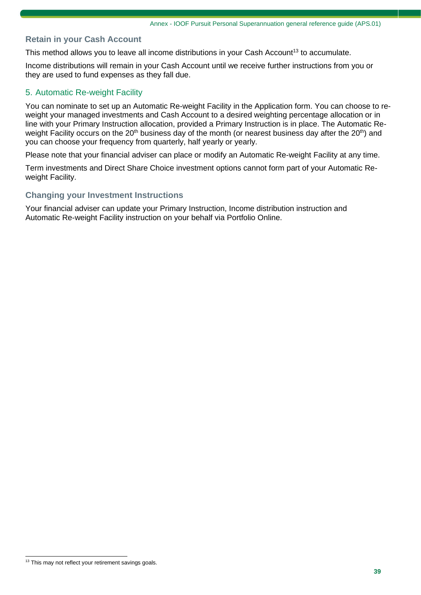### **Retain in your Cash Account**

This method allows you to leave all income distributions in your Cash Account<sup>13</sup> to accumulate.

Income distributions will remain in your Cash Account until we receive further instructions from you or they are used to fund expenses as they fall due.

### 5. Automatic Re-weight Facility

You can nominate to set up an Automatic Re-weight Facility in the Application form. You can choose to reweight your managed investments and Cash Account to a desired weighting percentage allocation or in line with your Primary Instruction allocation, provided a Primary Instruction is in place. The Automatic Reweight Facility occurs on the 20<sup>th</sup> business day of the month (or nearest business day after the  $20<sup>th</sup>$ ) and you can choose your frequency from quarterly, half yearly or yearly.

Please note that your financial adviser can place or modify an Automatic Re-weight Facility at any time.

Term investments and Direct Share Choice investment options cannot form part of your Automatic Reweight Facility.

#### **Changing your Investment Instructions**

Your financial adviser can update your Primary Instruction, Income distribution instruction and Automatic Re-weight Facility instruction on your behalf via Portfolio Online.

<sup>&</sup>lt;sup>13</sup> This may not reflect your retirement savings goals.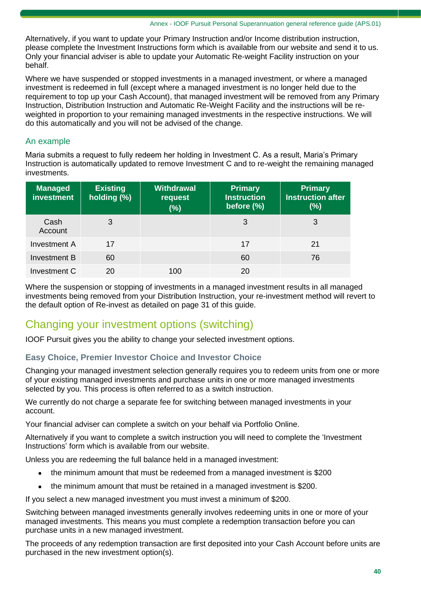Alternatively, if you want to update your Primary Instruction and/or Income distribution instruction, please complete the Investment Instructions form which is available from our website and send it to us. Only your financial adviser is able to update your Automatic Re-weight Facility instruction on your behalf.

Where we have suspended or stopped investments in a managed investment, or where a managed investment is redeemed in full (except where a managed investment is no longer held due to the requirement to top up your Cash Account), that managed investment will be removed from any Primary Instruction, Distribution Instruction and Automatic Re-Weight Facility and the instructions will be reweighted in proportion to your remaining managed investments in the respective instructions. We will do this automatically and you will not be advised of the change.

### An example

Maria submits a request to fully redeem her holding in Investment C. As a result, Maria's Primary Instruction is automatically updated to remove Investment C and to re-weight the remaining managed investments.

| <b>Managed</b><br><b>investment</b> | <b>Existing</b><br>holding (%) | <b>Withdrawal</b><br>request<br>$(\%)$ | <b>Primary</b><br><b>Instruction</b><br>before (%) | <b>Primary</b><br><b>Instruction after</b><br>(%) |
|-------------------------------------|--------------------------------|----------------------------------------|----------------------------------------------------|---------------------------------------------------|
| Cash<br>Account                     | 3                              |                                        | 3                                                  | 3                                                 |
| Investment A                        | 17                             |                                        | 17                                                 | 21                                                |
| Investment B                        | 60                             |                                        | 60                                                 | 76                                                |
| Investment C                        | 20                             | 100                                    | 20                                                 |                                                   |

Where the suspension or stopping of investments in a managed investment results in all managed investments being removed from your Distribution Instruction, your re-investment method will revert to the default option of Re-invest as detailed on page 31 of this guide.

### Changing your investment options (switching)

IOOF Pursuit gives you the ability to change your selected investment options.

### **Easy Choice, Premier Investor Choice and Investor Choice**

Changing your managed investment selection generally requires you to redeem units from one or more of your existing managed investments and purchase units in one or more managed investments selected by you. This process is often referred to as a switch instruction.

We currently do not charge a separate fee for switching between managed investments in your account.

Your financial adviser can complete a switch on your behalf via Portfolio Online.

Alternatively if you want to complete a switch instruction you will need to complete the 'Investment Instructions' form which is available from our website.

Unless you are redeeming the full balance held in a managed investment:

- the minimum amount that must be redeemed from a managed investment is \$200
- the minimum amount that must be retained in a managed investment is \$200.

If you select a new managed investment you must invest a minimum of \$200.

Switching between managed investments generally involves redeeming units in one or more of your managed investments. This means you must complete a redemption transaction before you can purchase units in a new managed investment.

The proceeds of any redemption transaction are first deposited into your Cash Account before units are purchased in the new investment option(s).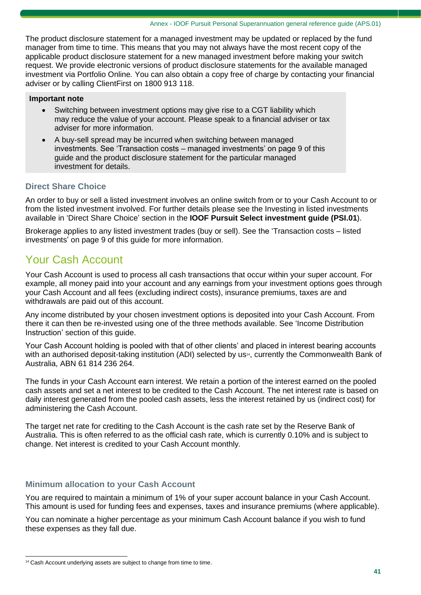The product disclosure statement for a managed investment may be updated or replaced by the fund manager from time to time. This means that you may not always have the most recent copy of the applicable product disclosure statement for a new managed investment before making your switch request. We provide electronic versions of product disclosure statements for the available managed investment via Portfolio Online*.* You can also obtain a copy free of charge by contacting your financial adviser or by calling ClientFirst on 1800 913 118.

#### **Important note**

- Switching between investment options may give rise to a CGT liability which may reduce the value of your account. Please speak to a financial adviser or tax adviser for more information.
- A buy-sell spread may be incurred when switching between managed investments. See 'Transaction costs – managed investments' on page 9 of this guide and the product disclosure statement for the particular managed investment for details.

### **Direct Share Choice**

An order to buy or sell a listed investment involves an online switch from or to your Cash Account to or from the listed investment involved. For further details please see the Investing in listed investments available in 'Direct Share Choice' section in the **IOOF Pursuit Select investment guide (PSI.01**).

Brokerage applies to any listed investment trades (buy or sell). See the 'Transaction costs – listed investments' on page 9 of this guide for more information.

## Your Cash Account

Your Cash Account is used to process all cash transactions that occur within your super account. For example, all money paid into your account and any earnings from your investment options goes through your Cash Account and all fees (excluding indirect costs), insurance premiums, taxes are and withdrawals are paid out of this account.

Any income distributed by your chosen investment options is deposited into your Cash Account. From there it can then be re-invested using one of the three methods available. See 'Income Distribution Instruction' section of this guide.

Your Cash Account holding is pooled with that of other clients' and placed in interest bearing accounts with an authorised deposit-taking institution (ADI) selected by us<sup>4</sup>, currently the Commonwealth Bank of Australia, ABN 61 814 236 264.

The funds in your Cash Account earn interest. We retain a portion of the interest earned on the pooled cash assets and set a net interest to be credited to the Cash Account. The net interest rate is based on daily interest generated from the pooled cash assets, less the interest retained by us (indirect cost) for administering the Cash Account.

The target net rate for crediting to the Cash Account is the cash rate set by the Reserve Bank of Australia. This is often referred to as the official cash rate, which is currently 0.10% and is subject to change. Net interest is credited to your Cash Account monthly.

### **Minimum allocation to your Cash Account**

You are required to maintain a minimum of 1% of your super account balance in your Cash Account. This amount is used for funding fees and expenses, taxes and insurance premiums (where applicable).

You can nominate a higher percentage as your minimum Cash Account balance if you wish to fund these expenses as they fall due.

<sup>&</sup>lt;sup>14</sup> Cash Account underlying assets are subject to change from time to time.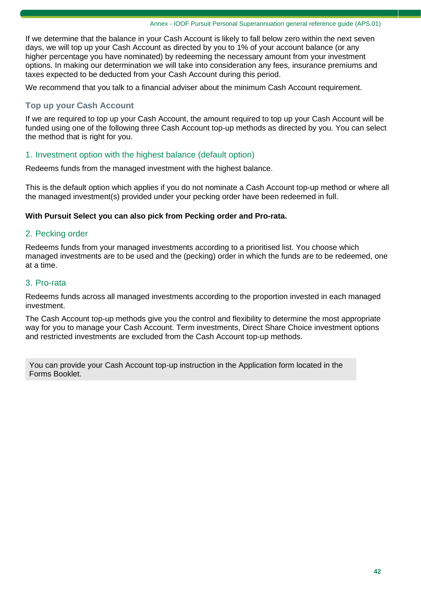If we determine that the balance in your Cash Account is likely to fall below zero within the next seven days, we will top up your Cash Account as directed by you to 1% of your account balance (or any higher percentage you have nominated) by redeeming the necessary amount from your investment options. In making our determination we will take into consideration any fees, insurance premiums and taxes expected to be deducted from your Cash Account during this period.

We recommend that you talk to a financial adviser about the minimum Cash Account requirement.

### **Top up your Cash Account**

If we are required to top up your Cash Account, the amount required to top up your Cash Account will be funded using one of the following three Cash Account top-up methods as directed by you. You can select the method that is right for you.

### 1. Investment option with the highest balance (default option)

Redeems funds from the managed investment with the highest balance.

This is the default option which applies if you do not nominate a Cash Account top-up method or where all the managed investment(s) provided under your pecking order have been redeemed in full.

#### **With Pursuit Select you can also pick from Pecking order and Pro-rata.**

#### 2. Pecking order

Redeems funds from your managed investments according to a prioritised list. You choose which managed investments are to be used and the (pecking) order in which the funds are to be redeemed, one at a time.

### 3. Pro-rata

Redeems funds across all managed investments according to the proportion invested in each managed investment.

The Cash Account top-up methods give you the control and flexibility to determine the most appropriate way for you to manage your Cash Account. Term investments, Direct Share Choice investment options and restricted investments are excluded from the Cash Account top-up methods.

You can provide your Cash Account top-up instruction in the Application form located in the Forms Booklet.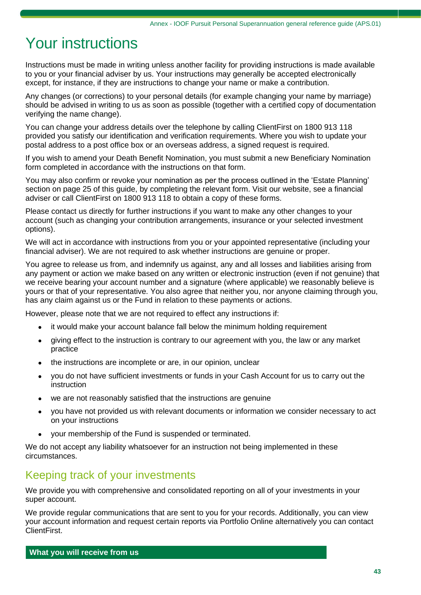# Your instructions

Instructions must be made in writing unless another facility for providing instructions is made available to you or your financial adviser by us. Your instructions may generally be accepted electronically except, for instance, if they are instructions to change your name or make a contribution.

Any changes (or corrections) to your personal details (for example changing your name by marriage) should be advised in writing to us as soon as possible (together with a certified copy of documentation verifying the name change).

You can change your address details over the telephone by calling ClientFirst on 1800 913 118 provided you satisfy our identification and verification requirements. Where you wish to update your postal address to a post office box or an overseas address, a signed request is required.

If you wish to amend your Death Benefit Nomination, you must submit a new Beneficiary Nomination form completed in accordance with the instructions on that form.

You may also confirm or revoke your nomination as per the process outlined in the 'Estate Planning' section on page 25 of this guide, by completing the relevant form. Visit our website, see a financial adviser or call ClientFirst on 1800 913 118 to obtain a copy of these forms.

Please contact us directly for further instructions if you want to make any other changes to your account (such as changing your contribution arrangements, insurance or your selected investment options).

We will act in accordance with instructions from you or your appointed representative (including your financial adviser). We are not required to ask whether instructions are genuine or proper.

You agree to release us from, and indemnify us against, any and all losses and liabilities arising from any payment or action we make based on any written or electronic instruction (even if not genuine) that we receive bearing your account number and a signature (where applicable) we reasonably believe is yours or that of your representative. You also agree that neither you, nor anyone claiming through you, has any claim against us or the Fund in relation to these payments or actions.

However, please note that we are not required to effect any instructions if:

- it would make your account balance fall below the minimum holding requirement
- giving effect to the instruction is contrary to our agreement with you, the law or any market practice
- the instructions are incomplete or are, in our opinion, unclear
- you do not have sufficient investments or funds in your Cash Account for us to carry out the instruction
- we are not reasonably satisfied that the instructions are genuine
- you have not provided us with relevant documents or information we consider necessary to act on your instructions
- your membership of the Fund is suspended or terminated.

We do not accept any liability whatsoever for an instruction not being implemented in these circumstances.

### Keeping track of your investments

We provide you with comprehensive and consolidated reporting on all of your investments in your super account.

We provide regular communications that are sent to you for your records. Additionally, you can view your account information and request certain reports via Portfolio Online alternatively you can contact ClientFirst.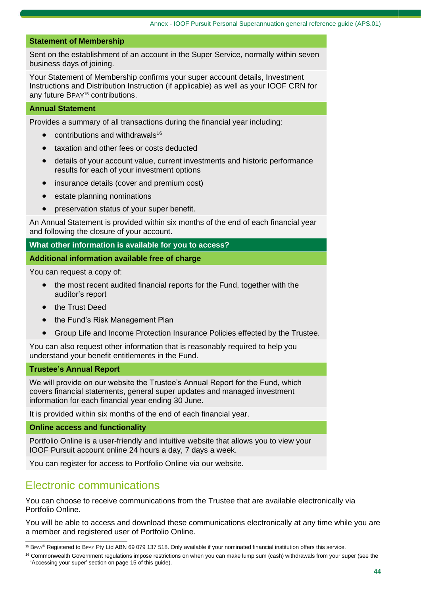#### **Statement of Membership**

Sent on the establishment of an account in the Super Service, normally within seven business days of joining.

Your Statement of Membership confirms your super account details, Investment Instructions and Distribution Instruction (if applicable) as well as your IOOF CRN for any future BPAY<sup>15</sup> contributions.

#### **Annual Statement**

Provides a summary of all transactions during the financial year including:

- $\bullet$  contributions and withdrawals<sup>16</sup>
- taxation and other fees or costs deducted
- details of your account value, current investments and historic performance results for each of your investment options
- insurance details (cover and premium cost)
- estate planning nominations
- preservation status of your super benefit.

An Annual Statement is provided within six months of the end of each financial year and following the closure of your account.

#### **What other information is available for you to access?**

#### **Additional information available free of charge**

You can request a copy of:

- the most recent audited financial reports for the Fund, together with the auditor's report
- the Trust Deed
- the Fund's Risk Management Plan
- Group Life and Income Protection Insurance Policies effected by the Trustee.

You can also request other information that is reasonably required to help you understand your benefit entitlements in the Fund.

#### **Trustee's Annual Report**

We will provide on our website the Trustee's Annual Report for the Fund, which covers financial statements, general super updates and managed investment information for each financial year ending 30 June.

It is provided within six months of the end of each financial year.

#### **Online access and functionality**

Portfolio Online is a user-friendly and intuitive website that allows you to view your IOOF Pursuit account online 24 hours a day, 7 days a week.

You can register for access to Portfolio Online via our website.

### Electronic communications

You can choose to receive communications from the Trustee that are available electronically via Portfolio Online.

You will be able to access and download these communications electronically at any time while you are a member and registered user of Portfolio Online.

<sup>15</sup> BPAY<sup>®</sup> Registered to BPAY Pty Ltd ABN 69 079 137 518. Only available if your nominated financial institution offers this service.

<sup>&</sup>lt;sup>16</sup> Commonwealth Government regulations impose restrictions on when you can make lump sum (cash) withdrawals from your super (see the 'Accessing your super' section on page 15 of this guide).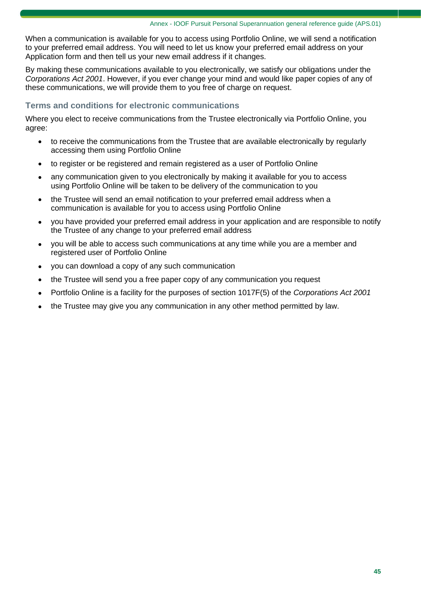When a communication is available for you to access using Portfolio Online, we will send a notification to your preferred email address. You will need to let us know your preferred email address on your Application form and then tell us your new email address if it changes.

By making these communications available to you electronically, we satisfy our obligations under the *Corporations Act 2001*. However, if you ever change your mind and would like paper copies of any of these communications, we will provide them to you free of charge on request.

### **Terms and conditions for electronic communications**

Where you elect to receive communications from the Trustee electronically via Portfolio Online, you agree:

- to receive the communications from the Trustee that are available electronically by regularly accessing them using Portfolio Online
- to register or be registered and remain registered as a user of Portfolio Online
- any communication given to you electronically by making it available for you to access using Portfolio Online will be taken to be delivery of the communication to you
- the Trustee will send an email notification to your preferred email address when a communication is available for you to access using Portfolio Online
- you have provided your preferred email address in your application and are responsible to notify the Trustee of any change to your preferred email address
- you will be able to access such communications at any time while you are a member and registered user of Portfolio Online
- you can download a copy of any such communication
- the Trustee will send you a free paper copy of any communication you request
- Portfolio Online is a facility for the purposes of section 1017F(5) of the *Corporations Act 2001*
- the Trustee may give you any communication in any other method permitted by law.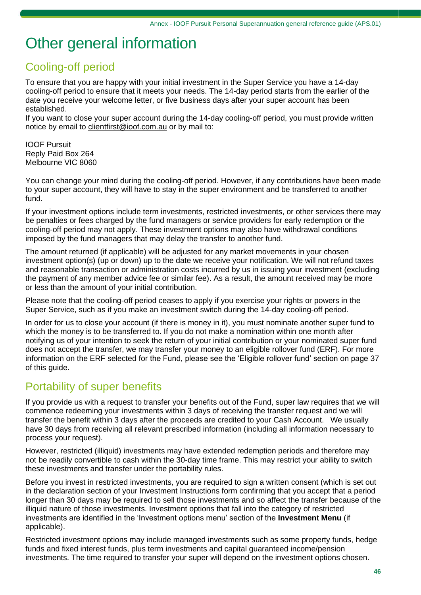# Other general information

# Cooling-off period

To ensure that you are happy with your initial investment in the Super Service you have a 14-day cooling-off period to ensure that it meets your needs. The 14-day period starts from the earlier of the date you receive your welcome letter, or five business days after your super account has been established.

If you want to close your super account during the 14-day cooling-off period, you must provide written notice by email to [clientfirst@ioof.com.au](mailto:clientfirst@ioof.com.au) or by mail to:

IOOF Pursuit Reply Paid Box 264 Melbourne VIC 8060

You can change your mind during the cooling-off period. However, if any contributions have been made to your super account, they will have to stay in the super environment and be transferred to another fund.

If your investment options include term investments, restricted investments, or other services there may be penalties or fees charged by the fund managers or service providers for early redemption or the cooling-off period may not apply. These investment options may also have withdrawal conditions imposed by the fund managers that may delay the transfer to another fund.

The amount returned (if applicable) will be adjusted for any market movements in your chosen investment option(s) (up or down) up to the date we receive your notification. We will not refund taxes and reasonable transaction or administration costs incurred by us in issuing your investment (excluding the payment of any member advice fee or similar fee). As a result, the amount received may be more or less than the amount of your initial contribution.

Please note that the cooling-off period ceases to apply if you exercise your rights or powers in the Super Service, such as if you make an investment switch during the 14-day cooling-off period.

In order for us to close your account (if there is money in it), you must nominate another super fund to which the money is to be transferred to. If you do not make a nomination within one month after notifying us of your intention to seek the return of your initial contribution or your nominated super fund does not accept the transfer, we may transfer your money to an eligible rollover fund (ERF). For more information on the ERF selected for the Fund, please see the 'Eligible rollover fund' section on page 37 of this guide.

# Portability of super benefits

If you provide us with a request to transfer your benefits out of the Fund, super law requires that we will commence redeeming your investments within 3 days of receiving the transfer request and we will transfer the benefit within 3 days after the proceeds are credited to your Cash Account. We usually have 30 days from receiving all relevant prescribed information (including all information necessary to process your request).

However, restricted (illiquid) investments may have extended redemption periods and therefore may not be readily convertible to cash within the 30-day time frame. This may restrict your ability to switch these investments and transfer under the portability rules.

Before you invest in restricted investments, you are required to sign a written consent (which is set out in the declaration section of your Investment Instructions form confirming that you accept that a period longer than 30 days may be required to sell those investments and so affect the transfer because of the illiquid nature of those investments. Investment options that fall into the category of restricted investments are identified in the 'Investment options menu' section of the **Investment Menu** (if applicable).

Restricted investment options may include managed investments such as some property funds, hedge funds and fixed interest funds, plus term investments and capital guaranteed income/pension investments. The time required to transfer your super will depend on the investment options chosen.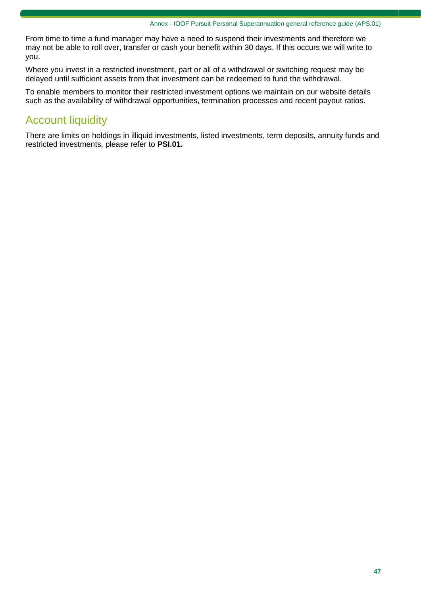From time to time a fund manager may have a need to suspend their investments and therefore we may not be able to roll over, transfer or cash your benefit within 30 days. If this occurs we will write to you.

Where you invest in a restricted investment, part or all of a withdrawal or switching request may be delayed until sufficient assets from that investment can be redeemed to fund the withdrawal.

To enable members to monitor their restricted investment options we maintain on our website details such as the availability of withdrawal opportunities, termination processes and recent payout ratios.

# Account liquidity

There are limits on holdings in illiquid investments, listed investments, term deposits, annuity funds and restricted investments, please refer to **PSI.01.**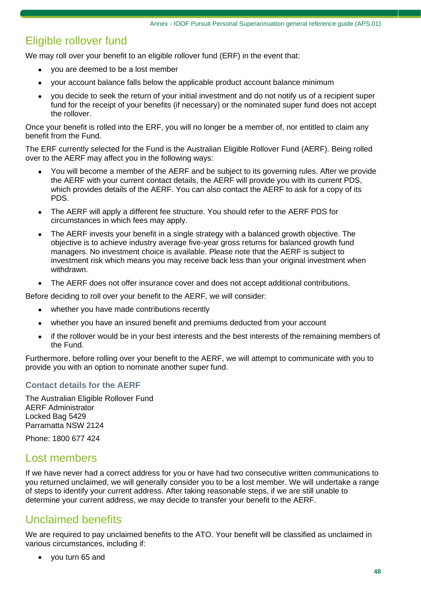## Eligible rollover fund

We may roll over your benefit to an eligible rollover fund (ERF) in the event that:

- you are deemed to be a lost member
- your account balance falls below the applicable product account balance minimum
- you decide to seek the return of your initial investment and do not notify us of a recipient super fund for the receipt of your benefits (if necessary) or the nominated super fund does not accept the rollover.

Once your benefit is rolled into the ERF, you will no longer be a member of, nor entitled to claim any benefit from the Fund.

The ERF currently selected for the Fund is the Australian Eligible Rollover Fund (AERF). Being rolled over to the AERF may affect you in the following ways:

- You will become a member of the AERF and be subject to its governing rules. After we provide the AERF with your current contact details, the AERF will provide you with its current PDS, which provides details of the AERF. You can also contact the AERF to ask for a copy of its PDS.
- The AERF will apply a different fee structure. You should refer to the AERF PDS for circumstances in which fees may apply.
- The AERF invests your benefit in a single strategy with a balanced growth objective. The objective is to achieve industry average five-year gross returns for balanced growth fund managers. No investment choice is available. Please note that the AERF is subject to investment risk which means you may receive back less than your original investment when withdrawn.
- The AERF does not offer insurance cover and does not accept additional contributions.

Before deciding to roll over your benefit to the AERF, we will consider:

- whether you have made contributions recently
- whether you have an insured benefit and premiums deducted from your account
- if the rollover would be in your best interests and the best interests of the remaining members of the Fund.

Furthermore, before rolling over your benefit to the AERF, we will attempt to communicate with you to provide you with an option to nominate another super fund.

### **Contact details for the AERF**

The Australian Eligible Rollover Fund AERF Administrator Locked Bag 5429 Parramatta NSW 2124

Phone: 1800 677 424

### Lost members

If we have never had a correct address for you or have had two consecutive written communications to you returned unclaimed, we will generally consider you to be a lost member. We will undertake a range of steps to identify your current address. After taking reasonable steps, if we are still unable to determine your current address, we may decide to transfer your benefit to the AERF.

### Unclaimed benefits

We are required to pay unclaimed benefits to the ATO. Your benefit will be classified as unclaimed in various circumstances, including if:

• you turn 65 and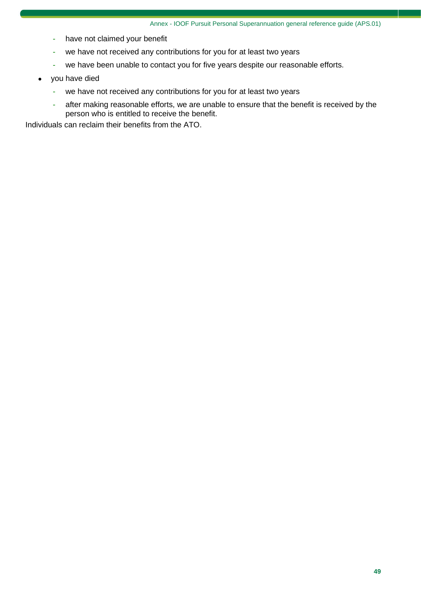- have not claimed your benefit
- we have not received any contributions for you for at least two years
- we have been unable to contact you for five years despite our reasonable efforts.
- you have died
	- we have not received any contributions for you for at least two years
	- after making reasonable efforts, we are unable to ensure that the benefit is received by the person who is entitled to receive the benefit.

Individuals can reclaim their benefits from the ATO.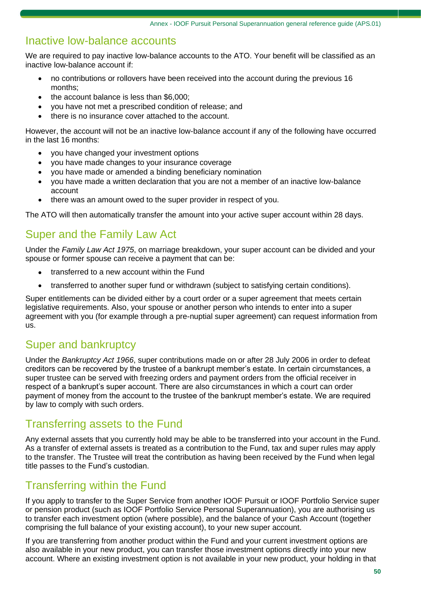### Inactive low-balance accounts

We are required to pay inactive low-balance accounts to the ATO. Your benefit will be classified as an inactive low-balance account if:

- no contributions or rollovers have been received into the account during the previous 16 months;
- the account balance is less than \$6,000;
- you have not met a prescribed condition of release; and
- there is no insurance cover attached to the account.

However, the account will not be an inactive low-balance account if any of the following have occurred in the last 16 months:

- you have changed your investment options
- you have made changes to your insurance coverage
- you have made or amended a binding beneficiary nomination
- you have made a written declaration that you are not a member of an inactive low-balance account
- there was an amount owed to the super provider in respect of you.

The ATO will then automatically transfer the amount into your active super account within 28 days.

### Super and the Family Law Act

Under the *Family Law Act 1975*, on marriage breakdown, your super account can be divided and your spouse or former spouse can receive a payment that can be:

- transferred to a new account within the Fund
- transferred to another super fund or withdrawn (subject to satisfying certain conditions).

Super entitlements can be divided either by a court order or a super agreement that meets certain legislative requirements. Also, your spouse or another person who intends to enter into a super agreement with you (for example through a pre-nuptial super agreement) can request information from us.

### Super and bankruptcy

Under the *Bankruptcy Act 1966*, super contributions made on or after 28 July 2006 in order to defeat creditors can be recovered by the trustee of a bankrupt member's estate. In certain circumstances, a super trustee can be served with freezing orders and payment orders from the official receiver in respect of a bankrupt's super account. There are also circumstances in which a court can order payment of money from the account to the trustee of the bankrupt member's estate. We are required by law to comply with such orders.

### Transferring assets to the Fund

Any external assets that you currently hold may be able to be transferred into your account in the Fund. As a transfer of external assets is treated as a contribution to the Fund, tax and super rules may apply to the transfer. The Trustee will treat the contribution as having been received by the Fund when legal title passes to the Fund's custodian.

### Transferring within the Fund

If you apply to transfer to the Super Service from another IOOF Pursuit or IOOF Portfolio Service super or pension product (such as IOOF Portfolio Service Personal Superannuation), you are authorising us to transfer each investment option (where possible), and the balance of your Cash Account (together comprising the full balance of your existing account), to your new super account.

If you are transferring from another product within the Fund and your current investment options are also available in your new product, you can transfer those investment options directly into your new account. Where an existing investment option is not available in your new product, your holding in that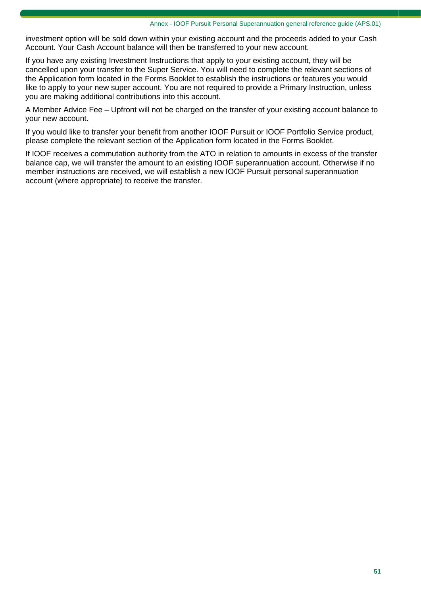investment option will be sold down within your existing account and the proceeds added to your Cash Account. Your Cash Account balance will then be transferred to your new account.

If you have any existing Investment Instructions that apply to your existing account, they will be cancelled upon your transfer to the Super Service. You will need to complete the relevant sections of the Application form located in the Forms Booklet to establish the instructions or features you would like to apply to your new super account. You are not required to provide a Primary Instruction, unless you are making additional contributions into this account.

A Member Advice Fee – Upfront will not be charged on the transfer of your existing account balance to your new account.

If you would like to transfer your benefit from another IOOF Pursuit or IOOF Portfolio Service product, please complete the relevant section of the Application form located in the Forms Booklet.

If IOOF receives a commutation authority from the ATO in relation to amounts in excess of the transfer balance cap, we will transfer the amount to an existing IOOF superannuation account. Otherwise if no member instructions are received, we will establish a new IOOF Pursuit personal superannuation account (where appropriate) to receive the transfer.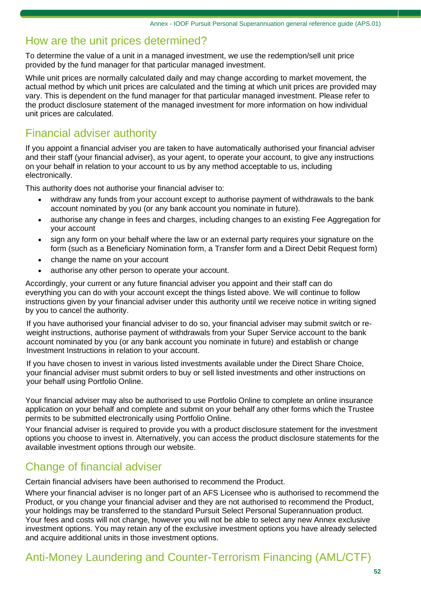### How are the unit prices determined?

To determine the value of a unit in a managed investment, we use the redemption/sell unit price provided by the fund manager for that particular managed investment.

While unit prices are normally calculated daily and may change according to market movement, the actual method by which unit prices are calculated and the timing at which unit prices are provided may vary. This is dependent on the fund manager for that particular managed investment. Please refer to the product disclosure statement of the managed investment for more information on how individual unit prices are calculated.

### Financial adviser authority

If you appoint a financial adviser you are taken to have automatically authorised your financial adviser and their staff (your financial adviser), as your agent, to operate your account, to give any instructions on your behalf in relation to your account to us by any method acceptable to us, including electronically.

This authority does not authorise your financial adviser to:

- withdraw any funds from your account except to authorise payment of withdrawals to the bank account nominated by you (or any bank account you nominate in future).
- authorise any change in fees and charges, including changes to an existing Fee Aggregation for your account
- sign any form on your behalf where the law or an external party requires your signature on the form (such as a Beneficiary Nomination form, a Transfer form and a Direct Debit Request form)
- change the name on your account
- authorise any other person to operate your account.

Accordingly, your current or any future financial adviser you appoint and their staff can do everything you can do with your account except the things listed above. We will continue to follow instructions given by your financial adviser under this authority until we receive notice in writing signed by you to cancel the authority.

If you have authorised your financial adviser to do so, your financial adviser may submit switch or reweight instructions, authorise payment of withdrawals from your Super Service account to the bank account nominated by you (or any bank account you nominate in future) and establish or change Investment Instructions in relation to your account.

If you have chosen to invest in various listed investments available under the Direct Share Choice, your financial adviser must submit orders to buy or sell listed investments and other instructions on your behalf using Portfolio Online.

Your financial adviser may also be authorised to use Portfolio Online to complete an online insurance application on your behalf and complete and submit on your behalf any other forms which the Trustee permits to be submitted electronically using Portfolio Online.

Your financial adviser is required to provide you with a product disclosure statement for the investment options you choose to invest in. Alternatively, you can access the product disclosure statements for the available investment options through our website.

# Change of financial adviser

Certain financial advisers have been authorised to recommend the Product.

Where your financial adviser is no longer part of an AFS Licensee who is authorised to recommend the Product, or you change your financial adviser and they are not authorised to recommend the Product, your holdings may be transferred to the standard Pursuit Select Personal Superannuation product. Your fees and costs will not change, however you will not be able to select any new Annex exclusive investment options. You may retain any of the exclusive investment options you have already selected and acquire additional units in those investment options.

# Anti-Money Laundering and Counter-Terrorism Financing (AML/CTF)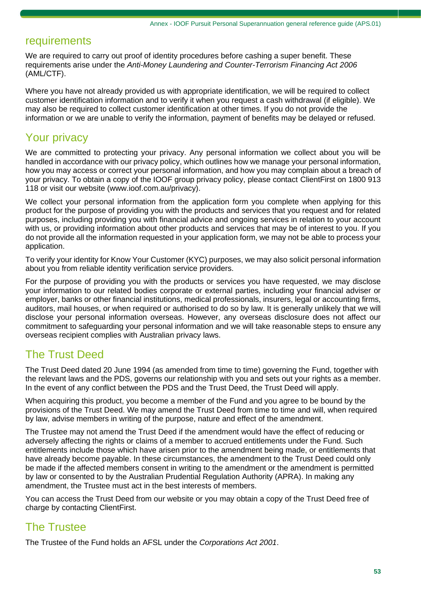### requirements

We are required to carry out proof of identity procedures before cashing a super benefit. These requirements arise under the *Anti-Money Laundering and Counter-Terrorism Financing Act 2006* (AML/CTF).

Where you have not already provided us with appropriate identification, we will be required to collect customer identification information and to verify it when you request a cash withdrawal (if eligible). We may also be required to collect customer identification at other times. If you do not provide the information or we are unable to verify the information, payment of benefits may be delayed or refused.

# Your privacy

We are committed to protecting your privacy. Any personal information we collect about you will be handled in accordance with our privacy policy, which outlines how we manage your personal information, how you may access or correct your personal information, and how you may complain about a breach of your privacy. To obtain a copy of the IOOF group privacy policy, please contact ClientFirst on 1800 913 118 or visit our website (www.ioof.com.au/privacy).

We collect your personal information from the application form you complete when applying for this product for the purpose of providing you with the products and services that you request and for related purposes, including providing you with financial advice and ongoing services in relation to your account with us, or providing information about other products and services that may be of interest to you. If you do not provide all the information requested in your application form, we may not be able to process your application.

To verify your identity for Know Your Customer (KYC) purposes, we may also solicit personal information about you from reliable identity verification service providers.

For the purpose of providing you with the products or services you have requested, we may disclose your information to our related bodies corporate or external parties, including your financial adviser or employer, banks or other financial institutions, medical professionals, insurers, legal or accounting firms, auditors, mail houses, or when required or authorised to do so by law. It is generally unlikely that we will disclose your personal information overseas. However, any overseas disclosure does not affect our commitment to safeguarding your personal information and we will take reasonable steps to ensure any overseas recipient complies with Australian privacy laws.

### The Trust Deed

The Trust Deed dated 20 June 1994 (as amended from time to time) governing the Fund, together with the relevant laws and the PDS, governs our relationship with you and sets out your rights as a member. In the event of any conflict between the PDS and the Trust Deed, the Trust Deed will apply.

When acquiring this product, you become a member of the Fund and you agree to be bound by the provisions of the Trust Deed. We may amend the Trust Deed from time to time and will, when required by law, advise members in writing of the purpose, nature and effect of the amendment.

The Trustee may not amend the Trust Deed if the amendment would have the effect of reducing or adversely affecting the rights or claims of a member to accrued entitlements under the Fund. Such entitlements include those which have arisen prior to the amendment being made, or entitlements that have already become payable. In these circumstances, the amendment to the Trust Deed could only be made if the affected members consent in writing to the amendment or the amendment is permitted by law or consented to by the Australian Prudential Regulation Authority (APRA). In making any amendment, the Trustee must act in the best interests of members.

You can access the Trust Deed from our website or you may obtain a copy of the Trust Deed free of charge by contacting ClientFirst.

### The Trustee

The Trustee of the Fund holds an AFSL under the *Corporations Act 2001*.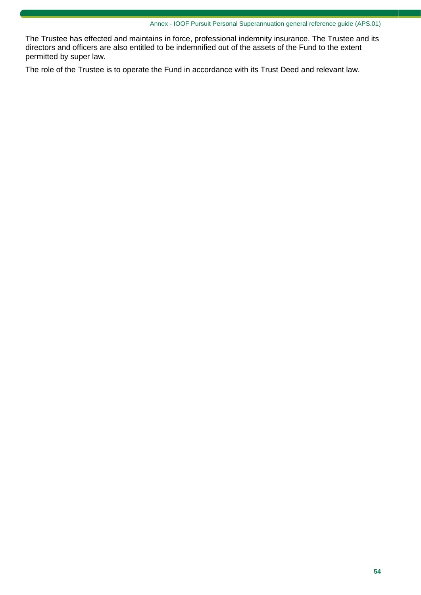The Trustee has effected and maintains in force, professional indemnity insurance. The Trustee and its directors and officers are also entitled to be indemnified out of the assets of the Fund to the extent permitted by super law.

The role of the Trustee is to operate the Fund in accordance with its Trust Deed and relevant law.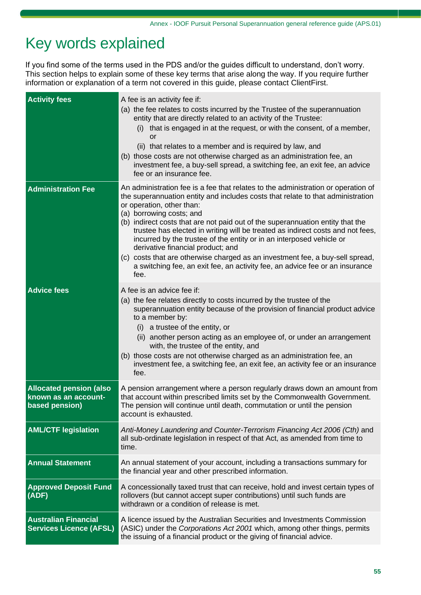# Key words explained

If you find some of the terms used in the PDS and/or the guides difficult to understand, don't worry. This section helps to explain some of these key terms that arise along the way. If you require further information or explanation of a term not covered in this guide, please contact ClientFirst.

| <b>Activity fees</b>                                          | A fee is an activity fee if:                                                                                                                                     |
|---------------------------------------------------------------|------------------------------------------------------------------------------------------------------------------------------------------------------------------|
|                                                               | (a) the fee relates to costs incurred by the Trustee of the superannuation                                                                                       |
|                                                               | entity that are directly related to an activity of the Trustee:<br>(i) that is engaged in at the request, or with the consent, of a member,                      |
|                                                               | or                                                                                                                                                               |
|                                                               | (ii) that relates to a member and is required by law, and                                                                                                        |
|                                                               | (b) those costs are not otherwise charged as an administration fee, an                                                                                           |
|                                                               | investment fee, a buy-sell spread, a switching fee, an exit fee, an advice<br>fee or an insurance fee.                                                           |
| <b>Administration Fee</b>                                     | An administration fee is a fee that relates to the administration or operation of                                                                                |
|                                                               | the superannuation entity and includes costs that relate to that administration<br>or operation, other than:                                                     |
|                                                               | (a) borrowing costs; and                                                                                                                                         |
|                                                               | (b) indirect costs that are not paid out of the superannuation entity that the<br>trustee has elected in writing will be treated as indirect costs and not fees, |
|                                                               | incurred by the trustee of the entity or in an interposed vehicle or<br>derivative financial product; and                                                        |
|                                                               | (c) costs that are otherwise charged as an investment fee, a buy-sell spread,                                                                                    |
|                                                               | a switching fee, an exit fee, an activity fee, an advice fee or an insurance<br>fee.                                                                             |
| <b>Advice fees</b>                                            | A fee is an advice fee if:                                                                                                                                       |
|                                                               | (a) the fee relates directly to costs incurred by the trustee of the                                                                                             |
|                                                               | superannuation entity because of the provision of financial product advice                                                                                       |
|                                                               | to a member by:<br>a trustee of the entity, or<br>(i)                                                                                                            |
|                                                               | (ii) another person acting as an employee of, or under an arrangement<br>with, the trustee of the entity, and                                                    |
|                                                               | (b) those costs are not otherwise charged as an administration fee, an                                                                                           |
|                                                               | investment fee, a switching fee, an exit fee, an activity fee or an insurance<br>fee.                                                                            |
| <b>Allocated pension (also</b>                                | A pension arrangement where a person regularly draws down an amount from                                                                                         |
| known as an account-<br>based pension)                        | that account within prescribed limits set by the Commonwealth Government.<br>The pension will continue until death, commutation or until the pension             |
|                                                               | account is exhausted.                                                                                                                                            |
| <b>AML/CTF legislation</b>                                    | Anti-Money Laundering and Counter-Terrorism Financing Act 2006 (Cth) and                                                                                         |
|                                                               | all sub-ordinate legislation in respect of that Act, as amended from time to<br>time.                                                                            |
|                                                               |                                                                                                                                                                  |
| <b>Annual Statement</b>                                       | An annual statement of your account, including a transactions summary for<br>the financial year and other prescribed information.                                |
| <b>Approved Deposit Fund</b>                                  | A concessionally taxed trust that can receive, hold and invest certain types of                                                                                  |
| (ADF)                                                         | rollovers (but cannot accept super contributions) until such funds are<br>withdrawn or a condition of release is met.                                            |
|                                                               |                                                                                                                                                                  |
| <b>Australian Financial</b><br><b>Services Licence (AFSL)</b> | A licence issued by the Australian Securities and Investments Commission<br>(ASIC) under the Corporations Act 2001 which, among other things, permits            |
|                                                               | the issuing of a financial product or the giving of financial advice.                                                                                            |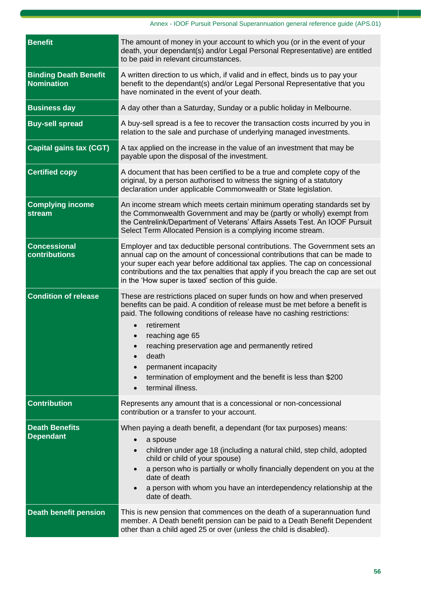| <b>Benefit</b>                                    | The amount of money in your account to which you (or in the event of your<br>death, your dependant(s) and/or Legal Personal Representative) are entitled<br>to be paid in relevant circumstances.                                                                                                                                                                                                                                                                       |
|---------------------------------------------------|-------------------------------------------------------------------------------------------------------------------------------------------------------------------------------------------------------------------------------------------------------------------------------------------------------------------------------------------------------------------------------------------------------------------------------------------------------------------------|
| <b>Binding Death Benefit</b><br><b>Nomination</b> | A written direction to us which, if valid and in effect, binds us to pay your<br>benefit to the dependant(s) and/or Legal Personal Representative that you<br>have nominated in the event of your death.                                                                                                                                                                                                                                                                |
| <b>Business day</b>                               | A day other than a Saturday, Sunday or a public holiday in Melbourne.                                                                                                                                                                                                                                                                                                                                                                                                   |
| <b>Buy-sell spread</b>                            | A buy-sell spread is a fee to recover the transaction costs incurred by you in<br>relation to the sale and purchase of underlying managed investments.                                                                                                                                                                                                                                                                                                                  |
| <b>Capital gains tax (CGT)</b>                    | A tax applied on the increase in the value of an investment that may be<br>payable upon the disposal of the investment.                                                                                                                                                                                                                                                                                                                                                 |
| <b>Certified copy</b>                             | A document that has been certified to be a true and complete copy of the<br>original, by a person authorised to witness the signing of a statutory<br>declaration under applicable Commonwealth or State legislation.                                                                                                                                                                                                                                                   |
| <b>Complying income</b><br>stream                 | An income stream which meets certain minimum operating standards set by<br>the Commonwealth Government and may be (partly or wholly) exempt from<br>the Centrelink/Department of Veterans' Affairs Assets Test. An IOOF Pursuit<br>Select Term Allocated Pension is a complying income stream.                                                                                                                                                                          |
| <b>Concessional</b><br>contributions              | Employer and tax deductible personal contributions. The Government sets an<br>annual cap on the amount of concessional contributions that can be made to<br>your super each year before additional tax applies. The cap on concessional<br>contributions and the tax penalties that apply if you breach the cap are set out<br>in the 'How super is taxed' section of this guide.                                                                                       |
| <b>Condition of release</b>                       | These are restrictions placed on super funds on how and when preserved<br>benefits can be paid. A condition of release must be met before a benefit is<br>paid. The following conditions of release have no cashing restrictions:<br>retirement<br>reaching age 65<br>reaching preservation age and permanently retired<br>death<br>$\bullet$<br>permanent incapacity<br>termination of employment and the benefit is less than \$200<br>$\bullet$<br>terminal illness. |
| <b>Contribution</b>                               | Represents any amount that is a concessional or non-concessional<br>contribution or a transfer to your account.                                                                                                                                                                                                                                                                                                                                                         |
| <b>Death Benefits</b><br><b>Dependant</b>         | When paying a death benefit, a dependant (for tax purposes) means:<br>a spouse<br>$\bullet$<br>children under age 18 (including a natural child, step child, adopted<br>$\bullet$<br>child or child of your spouse)<br>a person who is partially or wholly financially dependent on you at the<br>$\bullet$<br>date of death<br>a person with whom you have an interdependency relationship at the<br>$\bullet$<br>date of death.                                       |
| <b>Death benefit pension</b>                      | This is new pension that commences on the death of a superannuation fund<br>member. A Death benefit pension can be paid to a Death Benefit Dependent<br>other than a child aged 25 or over (unless the child is disabled).                                                                                                                                                                                                                                              |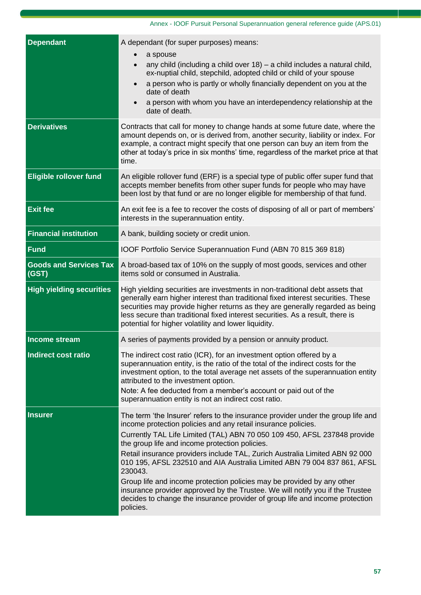| <b>Dependant</b>                       | A dependant (for super purposes) means:<br>a spouse<br>any child (including a child over $18$ ) – a child includes a natural child,<br>$\bullet$<br>ex-nuptial child, stepchild, adopted child or child of your spouse<br>a person who is partly or wholly financially dependent on you at the<br>date of death<br>a person with whom you have an interdependency relationship at the<br>date of death.                                                                                                                                                                                                                                                                                                      |
|----------------------------------------|--------------------------------------------------------------------------------------------------------------------------------------------------------------------------------------------------------------------------------------------------------------------------------------------------------------------------------------------------------------------------------------------------------------------------------------------------------------------------------------------------------------------------------------------------------------------------------------------------------------------------------------------------------------------------------------------------------------|
| <b>Derivatives</b>                     | Contracts that call for money to change hands at some future date, where the<br>amount depends on, or is derived from, another security, liability or index. For<br>example, a contract might specify that one person can buy an item from the<br>other at today's price in six months' time, regardless of the market price at that<br>time.                                                                                                                                                                                                                                                                                                                                                                |
| <b>Eligible rollover fund</b>          | An eligible rollover fund (ERF) is a special type of public offer super fund that<br>accepts member benefits from other super funds for people who may have<br>been lost by that fund or are no longer eligible for membership of that fund.                                                                                                                                                                                                                                                                                                                                                                                                                                                                 |
| <b>Exit fee</b>                        | An exit fee is a fee to recover the costs of disposing of all or part of members'<br>interests in the superannuation entity.                                                                                                                                                                                                                                                                                                                                                                                                                                                                                                                                                                                 |
| <b>Financial institution</b>           | A bank, building society or credit union.                                                                                                                                                                                                                                                                                                                                                                                                                                                                                                                                                                                                                                                                    |
| <b>Fund</b>                            | IOOF Portfolio Service Superannuation Fund (ABN 70 815 369 818)                                                                                                                                                                                                                                                                                                                                                                                                                                                                                                                                                                                                                                              |
| <b>Goods and Services Tax</b><br>(GST) | A broad-based tax of 10% on the supply of most goods, services and other<br>items sold or consumed in Australia.                                                                                                                                                                                                                                                                                                                                                                                                                                                                                                                                                                                             |
| <b>High yielding securities</b>        | High yielding securities are investments in non-traditional debt assets that<br>generally earn higher interest than traditional fixed interest securities. These<br>securities may provide higher returns as they are generally regarded as being<br>less secure than traditional fixed interest securities. As a result, there is<br>potential for higher volatility and lower liquidity.                                                                                                                                                                                                                                                                                                                   |
| Income stream                          | A series of payments provided by a pension or annuity product.                                                                                                                                                                                                                                                                                                                                                                                                                                                                                                                                                                                                                                               |
| Indirect cost ratio                    | The indirect cost ratio (ICR), for an investment option offered by a<br>superannuation entity, is the ratio of the total of the indirect costs for the<br>investment option, to the total average net assets of the superannuation entity<br>attributed to the investment option.<br>Note: A fee deducted from a member's account or paid out of the<br>superannuation entity is not an indirect cost ratio.                                                                                                                                                                                                                                                                                                 |
| <b>Insurer</b>                         | The term 'the Insurer' refers to the insurance provider under the group life and<br>income protection policies and any retail insurance policies.<br>Currently TAL Life Limited (TAL) ABN 70 050 109 450, AFSL 237848 provide<br>the group life and income protection policies.<br>Retail insurance providers include TAL, Zurich Australia Limited ABN 92 000<br>010 195, AFSL 232510 and AIA Australia Limited ABN 79 004 837 861, AFSL<br>230043.<br>Group life and income protection policies may be provided by any other<br>insurance provider approved by the Trustee. We will notify you if the Trustee<br>decides to change the insurance provider of group life and income protection<br>policies. |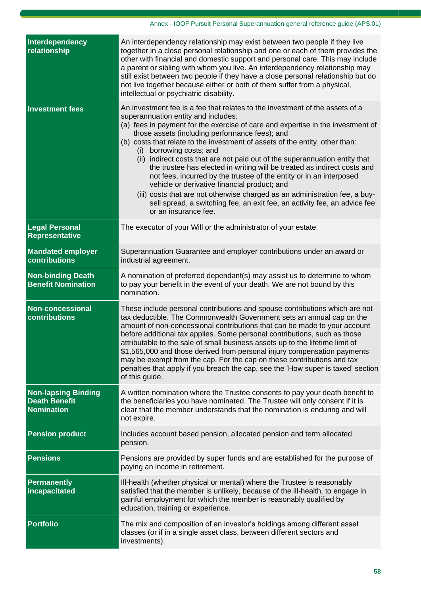| Interdependency<br>relationship                                         | An interdependency relationship may exist between two people if they live<br>together in a close personal relationship and one or each of them provides the<br>other with financial and domestic support and personal care. This may include<br>a parent or sibling with whom you live. An interdependency relationship may<br>still exist between two people if they have a close personal relationship but do<br>not live together because either or both of them suffer from a physical,<br>intellectual or psychiatric disability.                                                                                                                                                                                                                                                                                                           |
|-------------------------------------------------------------------------|--------------------------------------------------------------------------------------------------------------------------------------------------------------------------------------------------------------------------------------------------------------------------------------------------------------------------------------------------------------------------------------------------------------------------------------------------------------------------------------------------------------------------------------------------------------------------------------------------------------------------------------------------------------------------------------------------------------------------------------------------------------------------------------------------------------------------------------------------|
| <b>Investment fees</b>                                                  | An investment fee is a fee that relates to the investment of the assets of a<br>superannuation entity and includes:<br>(a) fees in payment for the exercise of care and expertise in the investment of<br>those assets (including performance fees); and<br>(b) costs that relate to the investment of assets of the entity, other than:<br>borrowing costs; and<br>(i)<br>indirect costs that are not paid out of the superannuation entity that<br>(ii)<br>the trustee has elected in writing will be treated as indirect costs and<br>not fees, incurred by the trustee of the entity or in an interposed<br>vehicle or derivative financial product; and<br>(iii) costs that are not otherwise charged as an administration fee, a buy-<br>sell spread, a switching fee, an exit fee, an activity fee, an advice fee<br>or an insurance fee. |
| <b>Legal Personal</b><br><b>Representative</b>                          | The executor of your Will or the administrator of your estate.                                                                                                                                                                                                                                                                                                                                                                                                                                                                                                                                                                                                                                                                                                                                                                                   |
| <b>Mandated employer</b><br><b>contributions</b>                        | Superannuation Guarantee and employer contributions under an award or<br>industrial agreement.                                                                                                                                                                                                                                                                                                                                                                                                                                                                                                                                                                                                                                                                                                                                                   |
| <b>Non-binding Death</b><br><b>Benefit Nomination</b>                   | A nomination of preferred dependant(s) may assist us to determine to whom<br>to pay your benefit in the event of your death. We are not bound by this<br>nomination.                                                                                                                                                                                                                                                                                                                                                                                                                                                                                                                                                                                                                                                                             |
| <b>Non-concessional</b><br>contributions                                | These include personal contributions and spouse contributions which are not<br>tax deductible. The Commonwealth Government sets an annual cap on the<br>amount of non-concessional contributions that can be made to your account<br>before additional tax applies. Some personal contributions, such as those<br>attributable to the sale of small business assets up to the lifetime limit of<br>\$1,565,000 and those derived from personal injury compensation payments<br>may be exempt from the cap. For the cap on these contributions and tax<br>penalties that apply if you breach the cap, see the 'How super is taxed' section<br>of this guide.                                                                                                                                                                                      |
| <b>Non-lapsing Binding</b><br><b>Death Benefit</b><br><b>Nomination</b> | A written nomination where the Trustee consents to pay your death benefit to<br>the beneficiaries you have nominated. The Trustee will only consent if it is<br>clear that the member understands that the nomination is enduring and will<br>not expire.                                                                                                                                                                                                                                                                                                                                                                                                                                                                                                                                                                                        |
| <b>Pension product</b>                                                  | Includes account based pension, allocated pension and term allocated<br>pension.                                                                                                                                                                                                                                                                                                                                                                                                                                                                                                                                                                                                                                                                                                                                                                 |
| <b>Pensions</b>                                                         | Pensions are provided by super funds and are established for the purpose of<br>paying an income in retirement.                                                                                                                                                                                                                                                                                                                                                                                                                                                                                                                                                                                                                                                                                                                                   |
| <b>Permanently</b><br>incapacitated                                     | Ill-health (whether physical or mental) where the Trustee is reasonably<br>satisfied that the member is unlikely, because of the ill-health, to engage in<br>gainful employment for which the member is reasonably qualified by<br>education, training or experience.                                                                                                                                                                                                                                                                                                                                                                                                                                                                                                                                                                            |
| <b>Portfolio</b>                                                        | The mix and composition of an investor's holdings among different asset<br>classes (or if in a single asset class, between different sectors and<br>investments).                                                                                                                                                                                                                                                                                                                                                                                                                                                                                                                                                                                                                                                                                |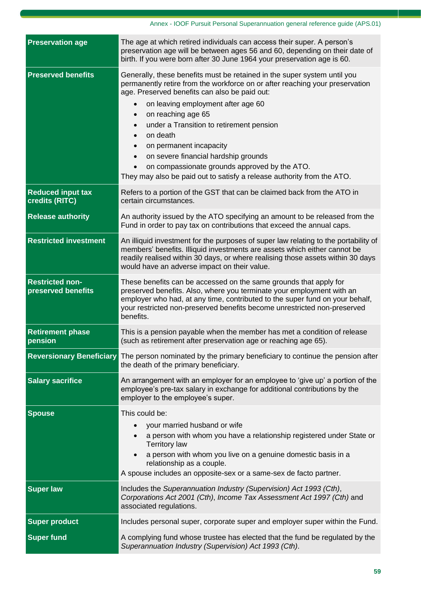### Annex - IOOF Pursuit Personal Superannuation general reference guide (APS.01)

| <b>Preservation age</b>                      | The age at which retired individuals can access their super. A person's<br>preservation age will be between ages 56 and 60, depending on their date of<br>birth. If you were born after 30 June 1964 your preservation age is 60.                                                                                                                                                                                                                                                                                                                                                                         |
|----------------------------------------------|-----------------------------------------------------------------------------------------------------------------------------------------------------------------------------------------------------------------------------------------------------------------------------------------------------------------------------------------------------------------------------------------------------------------------------------------------------------------------------------------------------------------------------------------------------------------------------------------------------------|
| <b>Preserved benefits</b>                    | Generally, these benefits must be retained in the super system until you<br>permanently retire from the workforce on or after reaching your preservation<br>age. Preserved benefits can also be paid out:<br>on leaving employment after age 60<br>on reaching age 65<br>$\bullet$<br>under a Transition to retirement pension<br>$\bullet$<br>on death<br>$\bullet$<br>on permanent incapacity<br>$\bullet$<br>on severe financial hardship grounds<br>$\bullet$<br>on compassionate grounds approved by the ATO.<br>$\bullet$<br>They may also be paid out to satisfy a release authority from the ATO. |
| <b>Reduced input tax</b><br>credits (RITC)   | Refers to a portion of the GST that can be claimed back from the ATO in<br>certain circumstances.                                                                                                                                                                                                                                                                                                                                                                                                                                                                                                         |
| <b>Release authority</b>                     | An authority issued by the ATO specifying an amount to be released from the<br>Fund in order to pay tax on contributions that exceed the annual caps.                                                                                                                                                                                                                                                                                                                                                                                                                                                     |
| <b>Restricted investment</b>                 | An illiquid investment for the purposes of super law relating to the portability of<br>members' benefits. Illiquid investments are assets which either cannot be<br>readily realised within 30 days, or where realising those assets within 30 days<br>would have an adverse impact on their value.                                                                                                                                                                                                                                                                                                       |
| <b>Restricted non-</b><br>preserved benefits | These benefits can be accessed on the same grounds that apply for<br>preserved benefits. Also, where you terminate your employment with an<br>employer who had, at any time, contributed to the super fund on your behalf,<br>your restricted non-preserved benefits become unrestricted non-preserved<br>benefits.                                                                                                                                                                                                                                                                                       |
| <b>Retirement phase</b><br>pension           | This is a pension payable when the member has met a condition of release<br>(such as retirement after preservation age or reaching age 65).                                                                                                                                                                                                                                                                                                                                                                                                                                                               |
|                                              | Reversionary Beneficiary The person nominated by the primary beneficiary to continue the pension after<br>the death of the primary beneficiary.                                                                                                                                                                                                                                                                                                                                                                                                                                                           |
| <b>Salary sacrifice</b>                      | An arrangement with an employer for an employee to 'give up' a portion of the<br>employee's pre-tax salary in exchange for additional contributions by the<br>employer to the employee's super.                                                                                                                                                                                                                                                                                                                                                                                                           |
| <b>Spouse</b>                                | This could be:<br>your married husband or wife<br>a person with whom you have a relationship registered under State or<br>$\bullet$<br><b>Territory law</b><br>a person with whom you live on a genuine domestic basis in a<br>relationship as a couple.<br>A spouse includes an opposite-sex or a same-sex de facto partner.                                                                                                                                                                                                                                                                             |
| <b>Super law</b>                             | Includes the Superannuation Industry (Supervision) Act 1993 (Cth),<br>Corporations Act 2001 (Cth), Income Tax Assessment Act 1997 (Cth) and<br>associated regulations.                                                                                                                                                                                                                                                                                                                                                                                                                                    |
| <b>Super product</b>                         | Includes personal super, corporate super and employer super within the Fund.                                                                                                                                                                                                                                                                                                                                                                                                                                                                                                                              |
| <b>Super fund</b>                            | A complying fund whose trustee has elected that the fund be regulated by the<br>Superannuation Industry (Supervision) Act 1993 (Cth).                                                                                                                                                                                                                                                                                                                                                                                                                                                                     |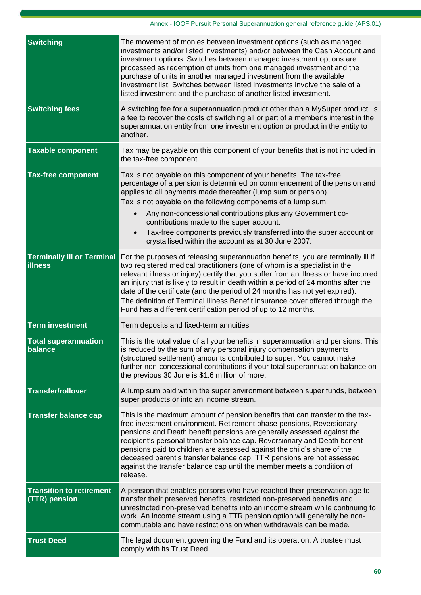| <b>Switching</b>                                    | The movement of monies between investment options (such as managed<br>investments and/or listed investments) and/or between the Cash Account and<br>investment options. Switches between managed investment options are<br>processed as redemption of units from one managed investment and the<br>purchase of units in another managed investment from the available<br>investment list. Switches between listed investments involve the sale of a<br>listed investment and the purchase of another listed investment.                                                     |
|-----------------------------------------------------|-----------------------------------------------------------------------------------------------------------------------------------------------------------------------------------------------------------------------------------------------------------------------------------------------------------------------------------------------------------------------------------------------------------------------------------------------------------------------------------------------------------------------------------------------------------------------------|
| <b>Switching fees</b>                               | A switching fee for a superannuation product other than a MySuper product, is<br>a fee to recover the costs of switching all or part of a member's interest in the<br>superannuation entity from one investment option or product in the entity to<br>another.                                                                                                                                                                                                                                                                                                              |
| <b>Taxable component</b>                            | Tax may be payable on this component of your benefits that is not included in<br>the tax-free component.                                                                                                                                                                                                                                                                                                                                                                                                                                                                    |
| <b>Tax-free component</b>                           | Tax is not payable on this component of your benefits. The tax-free<br>percentage of a pension is determined on commencement of the pension and<br>applies to all payments made thereafter (lump sum or pension).<br>Tax is not payable on the following components of a lump sum:<br>Any non-concessional contributions plus any Government co-<br>contributions made to the super account.<br>Tax-free components previously transferred into the super account or<br>crystallised within the account as at 30 June 2007.                                                 |
| <b>Terminally ill or Terminal</b><br><b>illness</b> | For the purposes of releasing superannuation benefits, you are terminally ill if<br>two registered medical practitioners (one of whom is a specialist in the<br>relevant illness or injury) certify that you suffer from an illness or have incurred<br>an injury that is likely to result in death within a period of 24 months after the<br>date of the certificate (and the period of 24 months has not yet expired).<br>The definition of Terminal Illness Benefit insurance cover offered through the<br>Fund has a different certification period of up to 12 months. |
| <b>Term investment</b>                              | Term deposits and fixed-term annuities                                                                                                                                                                                                                                                                                                                                                                                                                                                                                                                                      |
| <b>Total superannuation</b><br>balance              | This is the total value of all your benefits in superannuation and pensions. This<br>is reduced by the sum of any personal injury compensation payments<br>(structured settlement) amounts contributed to super. You cannot make<br>further non-concessional contributions if your total superannuation balance on<br>the previous 30 June is \$1.6 million of more.                                                                                                                                                                                                        |
| <b>Transfer/rollover</b>                            | A lump sum paid within the super environment between super funds, between<br>super products or into an income stream.                                                                                                                                                                                                                                                                                                                                                                                                                                                       |
| <b>Transfer balance cap</b>                         | This is the maximum amount of pension benefits that can transfer to the tax-<br>free investment environment. Retirement phase pensions, Reversionary<br>pensions and Death benefit pensions are generally assessed against the<br>recipient's personal transfer balance cap. Reversionary and Death benefit<br>pensions paid to children are assessed against the child's share of the<br>deceased parent's transfer balance cap. TTR pensions are not assessed<br>against the transfer balance cap until the member meets a condition of<br>release.                       |
| <b>Transition to retirement</b><br>(TTR) pension    | A pension that enables persons who have reached their preservation age to<br>transfer their preserved benefits, restricted non-preserved benefits and<br>unrestricted non-preserved benefits into an income stream while continuing to<br>work. An income stream using a TTR pension option will generally be non-<br>commutable and have restrictions on when withdrawals can be made.                                                                                                                                                                                     |
| <b>Trust Deed</b>                                   | The legal document governing the Fund and its operation. A trustee must<br>comply with its Trust Deed.                                                                                                                                                                                                                                                                                                                                                                                                                                                                      |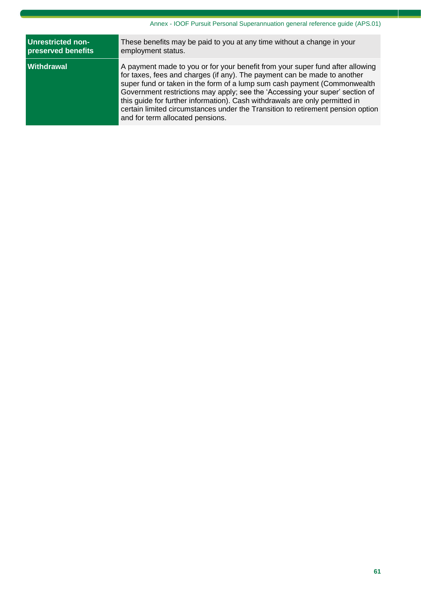| <b>Unrestricted non-</b> | These benefits may be paid to you at any time without a change in your                                                                                                                                                                                                                                                                                                                                                                                                                                                      |
|--------------------------|-----------------------------------------------------------------------------------------------------------------------------------------------------------------------------------------------------------------------------------------------------------------------------------------------------------------------------------------------------------------------------------------------------------------------------------------------------------------------------------------------------------------------------|
| preserved benefits       | employment status.                                                                                                                                                                                                                                                                                                                                                                                                                                                                                                          |
| <b>Withdrawal</b>        | A payment made to you or for your benefit from your super fund after allowing<br>for taxes, fees and charges (if any). The payment can be made to another<br>super fund or taken in the form of a lump sum cash payment (Commonwealth<br>Government restrictions may apply; see the 'Accessing your super' section of<br>this guide for further information). Cash withdrawals are only permitted in<br>certain limited circumstances under the Transition to retirement pension option<br>and for term allocated pensions. |